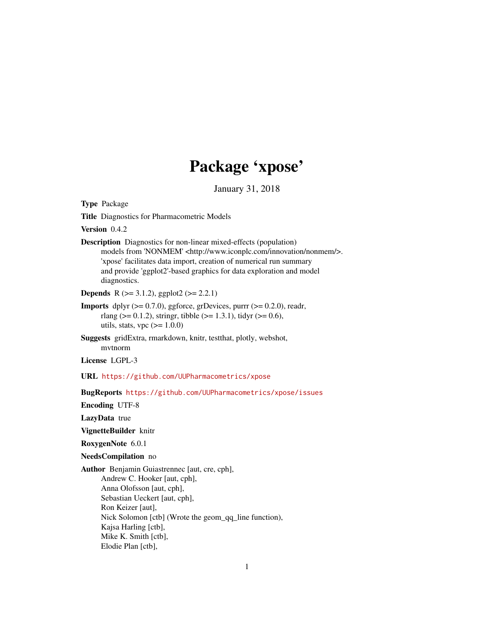# Package 'xpose'

January 31, 2018

<span id="page-0-0"></span>Type Package Title Diagnostics for Pharmacometric Models Version 0.4.2 Description Diagnostics for non-linear mixed-effects (population) models from 'NONMEM' <http://www.iconplc.com/innovation/nonmem/>. 'xpose' facilitates data import, creation of numerical run summary and provide 'ggplot2'-based graphics for data exploration and model diagnostics. **Depends** R ( $>= 3.1.2$ ), ggplot2 ( $>= 2.2.1$ ) **Imports** dplyr  $(>= 0.7.0)$ , ggforce, grDevices, purrr  $(>= 0.2.0)$ , readr, rlang ( $> = 0.1.2$ ), stringr, tibble ( $> = 1.3.1$ ), tidyr ( $> = 0.6$ ), utils, stats, vpc  $(>= 1.0.0)$ Suggests gridExtra, rmarkdown, knitr, testthat, plotly, webshot, mvtnorm License LGPL-3 URL <https://github.com/UUPharmacometrics/xpose> BugReports <https://github.com/UUPharmacometrics/xpose/issues> Encoding UTF-8 LazyData true VignetteBuilder knitr RoxygenNote 6.0.1 NeedsCompilation no Author Benjamin Guiastrennec [aut, cre, cph], Andrew C. Hooker [aut, cph], Anna Olofsson [aut, cph], Sebastian Ueckert [aut, cph], Ron Keizer [aut], Nick Solomon [ctb] (Wrote the geom\_qq\_line function), Kajsa Harling [ctb], Mike K. Smith [ctb], Elodie Plan [ctb],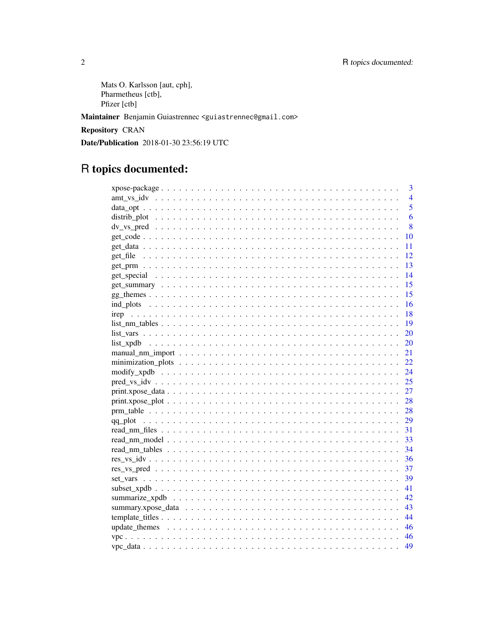```
Mats O. Karlsson [aut, cph],
Pharmetheus [ctb],
Pfizer [ctb]
```
Maintainer Benjamin Guiastrennec <guiastrennec@gmail.com>

**Repository CRAN** 

Date/Publication 2018-01-30 23:56:19 UTC

# R topics documented:

|                                                                                                        | 3              |
|--------------------------------------------------------------------------------------------------------|----------------|
|                                                                                                        | $\overline{4}$ |
|                                                                                                        | 5              |
|                                                                                                        | 6              |
|                                                                                                        | 8              |
|                                                                                                        | 10             |
|                                                                                                        | 11             |
|                                                                                                        | 12             |
|                                                                                                        | 13             |
|                                                                                                        | 14             |
|                                                                                                        | 15             |
|                                                                                                        | 15             |
|                                                                                                        | 16             |
|                                                                                                        | 18             |
| $list\_nm\_tables \ldots \ldots \ldots \ldots \ldots \ldots \ldots \ldots \ldots \ldots \ldots \ldots$ | 19             |
|                                                                                                        | 20             |
|                                                                                                        | 20             |
|                                                                                                        | 21             |
|                                                                                                        | 22             |
|                                                                                                        | 24             |
|                                                                                                        | 25             |
|                                                                                                        | 27             |
|                                                                                                        | 28             |
|                                                                                                        | 28             |
|                                                                                                        | 29             |
|                                                                                                        | 31             |
|                                                                                                        | 33             |
|                                                                                                        | 34             |
|                                                                                                        | 36             |
|                                                                                                        | 37             |
|                                                                                                        | 39             |
|                                                                                                        | 41             |
|                                                                                                        | 42             |
|                                                                                                        | 43             |
|                                                                                                        | 44             |
|                                                                                                        | 46             |
|                                                                                                        | 46             |
|                                                                                                        | 49             |

 $\overline{2}$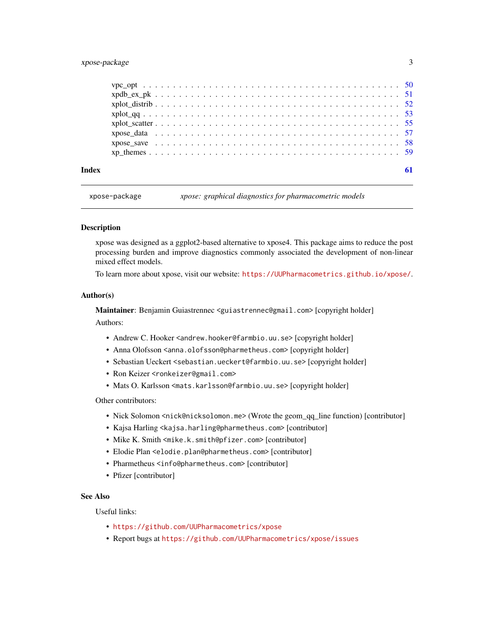### <span id="page-2-0"></span>xpose-package 3

|       | $xplot_qq$ 53 |  |
|-------|---------------|--|
|       |               |  |
|       |               |  |
|       |               |  |
|       |               |  |
| Index |               |  |

xpose-package *xpose: graphical diagnostics for pharmacometric models*

#### **Description**

xpose was designed as a ggplot2-based alternative to xpose4. This package aims to reduce the post processing burden and improve diagnostics commonly associated the development of non-linear mixed effect models.

To learn more about xpose, visit our website: <https://UUPharmacometrics.github.io/xpose/>.

#### Author(s)

Maintainer: Benjamin Guiastrennec <guiastrennec@gmail.com> [copyright holder] Authors:

- Andrew C. Hooker <andrew.hooker@farmbio.uu.se> [copyright holder]
- Anna Olofsson <anna.olofsson@pharmetheus.com> [copyright holder]
- Sebastian Ueckert <sebastian.ueckert@farmbio.uu.se> [copyright holder]
- Ron Keizer <ronkeizer@gmail.com>
- Mats O. Karlsson <mats.karlsson@farmbio.uu.se>[copyright holder]

Other contributors:

- Nick Solomon <nick@nicksolomon.me> (Wrote the geom\_qq\_line function) [contributor]
- Kajsa Harling <kajsa.harling@pharmetheus.com> [contributor]
- Mike K. Smith <mike.k.smith@pfizer.com> [contributor]
- Elodie Plan <elodie.plan@pharmetheus.com> [contributor]
- Pharmetheus <info@pharmetheus.com> [contributor]
- Pfizer [contributor]

### See Also

Useful links:

- <https://github.com/UUPharmacometrics/xpose>
- Report bugs at <https://github.com/UUPharmacometrics/xpose/issues>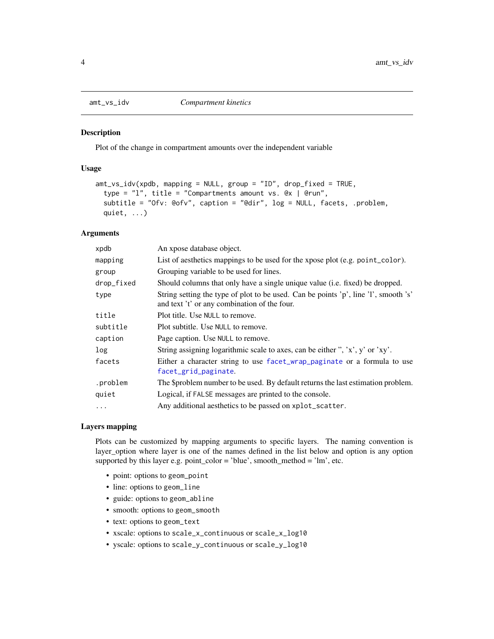### Description

Plot of the change in compartment amounts over the independent variable

### Usage

```
amt_vs_idv(xpdb, mapping = NULL, group = "ID", drop_fixed = TRUE,
 type = "l", title = "Compartments amount vs. @x | @run",
  subtitle = "Ofv: @ofv", caption = "@dir", log = NULL, facets, .problem,
 quiet, ...)
```
### Arguments

| An xpose database object.                                                                                                           |
|-------------------------------------------------------------------------------------------------------------------------------------|
| List of aesthetics mappings to be used for the xpose plot (e.g. point_color).                                                       |
| Grouping variable to be used for lines.                                                                                             |
| Should columns that only have a single unique value (i.e. fixed) be dropped.                                                        |
| String setting the type of plot to be used. Can be points 'p', line 'l', smooth 's'<br>and text 't' or any combination of the four. |
| Plot title. Use NULL to remove.                                                                                                     |
| Plot subtitle. Use NULL to remove.                                                                                                  |
| Page caption. Use NULL to remove.                                                                                                   |
| String assigning logarithmic scale to axes, can be either ", 'x', y' or 'xy'.                                                       |
| Either a character string to use facet_wrap_paginate or a formula to use<br>facet_grid_paginate.                                    |
| The \$problem number to be used. By default returns the last estimation problem.                                                    |
| Logical, if FALSE messages are printed to the console.                                                                              |
| Any additional aesthetics to be passed on xplot_scatter.                                                                            |
|                                                                                                                                     |

#### Layers mapping

Plots can be customized by mapping arguments to specific layers. The naming convention is layer\_option where layer is one of the names defined in the list below and option is any option supported by this layer e.g. point\_color = 'blue', smooth\_method = 'lm', etc.

- point: options to geom\_point
- line: options to geom\_line
- guide: options to geom\_abline
- smooth: options to geom\_smooth
- text: options to geom\_text
- xscale: options to scale\_x\_continuous or scale\_x\_log10
- yscale: options to scale\_y\_continuous or scale\_y\_log10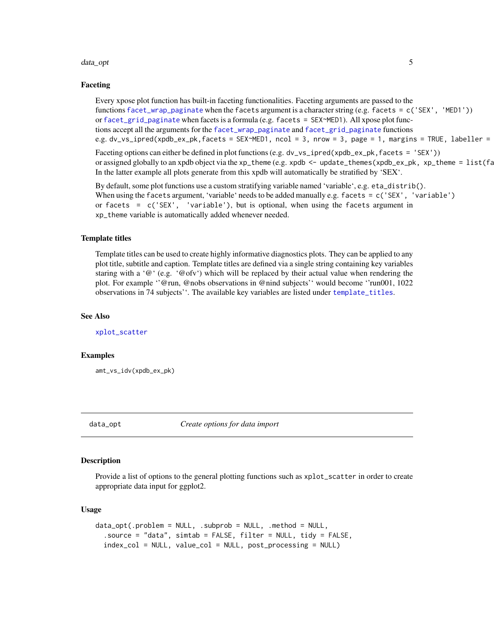#### <span id="page-4-0"></span>data\_opt 5

#### Faceting

Every xpose plot function has built-in faceting functionalities. Faceting arguments are passed to the functions [facet\\_wrap\\_paginate](#page-0-0) when the facets argument is a character string (e.g. facets = c('SEX', 'MED1')) or [facet\\_grid\\_paginate](#page-0-0) when facets is a formula (e.g. facets = SEX~MED1). All xpose plot functions accept all the arguments for the [facet\\_wrap\\_paginate](#page-0-0) and [facet\\_grid\\_paginate](#page-0-0) functions e.g. dv\_vs\_ipred(xpdb\_ex\_pk,facets = SEX~MED1, ncol = 3, nrow = 3, page = 1, margins = TRUE, labeller =

Faceting options can either be defined in plot functions (e.g. dv\_vs\_ipred(xpdb\_ex\_pk,facets = 'SEX')) or assigned globally to an xpdb object via the xp\_theme (e.g. xpdb  $\leq$  - update\_themes(xpdb\_ex\_pk, xp\_theme =  $list(fa)$ In the latter example all plots generate from this xpdb will automatically be stratified by 'SEX'.

By default, some plot functions use a custom stratifying variable named 'variable', e.g. eta\_distrib(). When using the facets argument, 'variable' needs to be added manually e.g. facets = c('SEX', 'variable') or facets =  $c('SEX', 'variable'), but is optional, when using the facets argument in$ xp\_theme variable is automatically added whenever needed.

#### Template titles

Template titles can be used to create highly informative diagnostics plots. They can be applied to any plot title, subtitle and caption. Template titles are defined via a single string containing key variables staring with a ' $@'$ ' (e.g. ' $@ofv'$ ) which will be replaced by their actual value when rendering the plot. For example ''@run, @nobs observations in @nind subjects'' would become ''run001, 1022 observations in 74 subjects''. The available key variables are listed under [template\\_titles](#page-43-1).

#### See Also

[xplot\\_scatter](#page-54-1)

#### Examples

amt\_vs\_idv(xpdb\_ex\_pk)

<span id="page-4-1"></span>

data\_opt *Create options for data import*

#### **Description**

Provide a list of options to the general plotting functions such as xplot\_scatter in order to create appropriate data input for ggplot2.

#### Usage

```
data\_opt(.problem = NULL, .subprob = NULL, .method = NULL,
  .source = "data", simtab = FALSE, filter = NULL, tidy = FALSE,
  index_col = NULL, value_col = NULL, post_processing = NULL)
```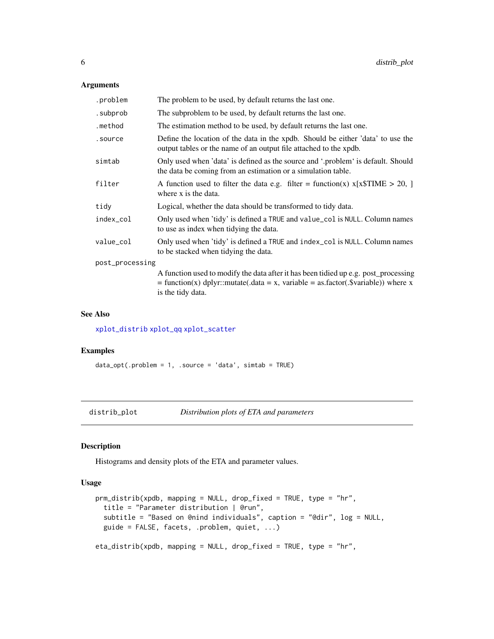### <span id="page-5-0"></span>Arguments

| .problem        | The problem to be used, by default returns the last one.                                                                                                                                        |  |
|-----------------|-------------------------------------------------------------------------------------------------------------------------------------------------------------------------------------------------|--|
| .subprob        | The subproblem to be used, by default returns the last one.                                                                                                                                     |  |
| .method         | The estimation method to be used, by default returns the last one.                                                                                                                              |  |
| .source         | Define the location of the data in the xpdb. Should be either 'data' to use the<br>output tables or the name of an output file attached to the xpdb.                                            |  |
| simtab          | Only used when 'data' is defined as the source and '.problem' is default. Should<br>the data be coming from an estimation or a simulation table.                                                |  |
| filter          | A function used to filter the data e.g. filter = function(x) $x[x$TIME > 20, ]$<br>where x is the data.                                                                                         |  |
| tidy            | Logical, whether the data should be transformed to tidy data.                                                                                                                                   |  |
| index_col       | Only used when 'tidy' is defined a TRUE and value_col is NULL. Column names<br>to use as index when tidying the data.                                                                           |  |
| value_col       | Only used when 'tidy' is defined a TRUE and index_col is NULL. Column names<br>to be stacked when tidying the data.                                                                             |  |
| post_processing |                                                                                                                                                                                                 |  |
|                 | A function used to modify the data after it has been tidied up e.g. post_processing<br>$=$ function(x) dplyr::mutate(.data = x, variable = as.factor(.\$variable)) where x<br>is the tidy data. |  |

#### See Also

[xplot\\_distrib](#page-51-1) [xplot\\_qq](#page-52-1) [xplot\\_scatter](#page-54-1)

### Examples

 $data\_opt( .problem = 1, .source = 'data', simtab = TRUE)$ 

distrib\_plot *Distribution plots of ETA and parameters*

### Description

Histograms and density plots of the ETA and parameter values.

### Usage

```
prm_distrib(xpdb, mapping = NULL, drop_fixed = TRUE, type = "hr",
  title = "Parameter distribution | @run",
  subtitle = "Based on @nind individuals", caption = "@dir", log = NULL,
 guide = FALSE, facets, .problem, quiet, ...)
eta_distrib(xpdb, mapping = NULL, drop_fixed = TRUE, type = "hr",
```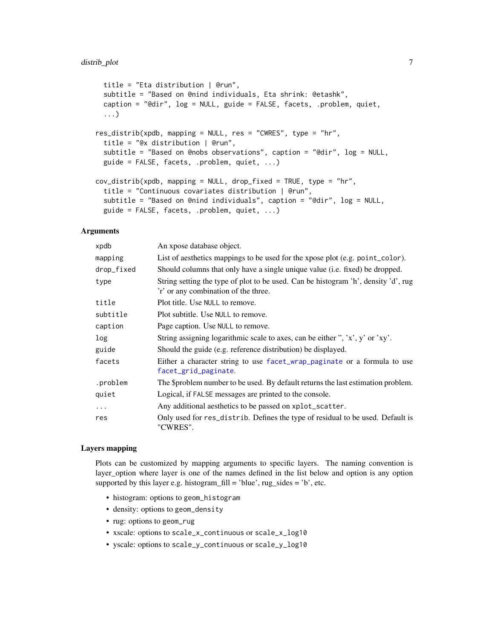```
title = "Eta distribution | @run",
  subtitle = "Based on @nind individuals, Eta shrink: @etashk",
 caption = "@dir", log = NULL, guide = FALSE, facets, .problem, quiet,
  ...)
res_distrib(xpdb, mapping = NULL, res = "CWRES", type = "hr",
  title = "@x distribution | @run",
  subtitle = "Based on @nobs observations", caption = "@dir", log = NULL,
 guide = FALSE, facets, .problem, quiet, ...)
cov_distrib(xpdb, mapping = NULL, drop_fixed = TRUE, type = "hr",
  title = "Continuous covariates distribution | @run",
  subtitle = "Based on @nind individuals", caption = "@dir", log = NULL,
 guide = FALSE, facets, .problem, quiet, ...)
```
### Arguments

| xpdb       | An xpose database object.                                                                                                  |
|------------|----------------------------------------------------------------------------------------------------------------------------|
| mapping    | List of aesthetics mappings to be used for the xpose plot (e.g. point_color).                                              |
| drop_fixed | Should columns that only have a single unique value (i.e. fixed) be dropped.                                               |
| type       | String setting the type of plot to be used. Can be histogram 'h', density 'd', rug<br>'r' or any combination of the three. |
| title      | Plot title. Use NULL to remove.                                                                                            |
| subtitle   | Plot subtitle. Use NULL to remove.                                                                                         |
| caption    | Page caption. Use NULL to remove.                                                                                          |
| log        | String assigning logarithmic scale to axes, can be either ", 'x', y' or 'xy'.                                              |
| guide      | Should the guide (e.g. reference distribution) be displayed.                                                               |
| facets     | Either a character string to use facet_wrap_paginate or a formula to use<br>facet_grid_paginate.                           |
| .problem   | The \$problem number to be used. By default returns the last estimation problem.                                           |
| quiet      | Logical, if FALSE messages are printed to the console.                                                                     |
| $\cdots$   | Any additional aesthetics to be passed on xplot_scatter.                                                                   |
| res        | Only used for res_distrib. Defines the type of residual to be used. Default is<br>"CWRES".                                 |

### Layers mapping

Plots can be customized by mapping arguments to specific layers. The naming convention is layer\_option where layer is one of the names defined in the list below and option is any option supported by this layer e.g. histogram\_fill = 'blue',  $rug\_sides = 'b'$ , etc.

- histogram: options to geom\_histogram
- density: options to geom\_density
- rug: options to geom\_rug
- xscale: options to scale\_x\_continuous or scale\_x\_log10
- yscale: options to scale\_y\_continuous or scale\_y\_log10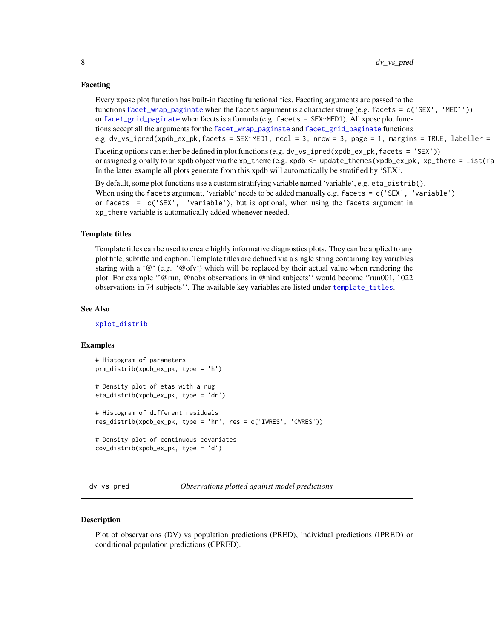#### <span id="page-7-0"></span>Faceting

Every xpose plot function has built-in faceting functionalities. Faceting arguments are passed to the functions [facet\\_wrap\\_paginate](#page-0-0) when the facets argument is a character string (e.g. facets = c('SEX', 'MED1')) or [facet\\_grid\\_paginate](#page-0-0) when facets is a formula (e.g. facets = SEX~MED1). All xpose plot functions accept all the arguments for the [facet\\_wrap\\_paginate](#page-0-0) and [facet\\_grid\\_paginate](#page-0-0) functions e.g. dv\_vs\_ipred(xpdb\_ex\_pk,facets = SEX~MED1, ncol = 3, nrow = 3, page = 1, margins = TRUE, labeller =

Faceting options can either be defined in plot functions (e.g. dv\_vs\_ipred(xpdb\_ex\_pk, facets = 'SEX')) or assigned globally to an xpdb object via the xp\_theme (e.g. xpdb  $\leq$  - update\_themes(xpdb\_ex\_pk, xp\_theme =  $list(fa)$ In the latter example all plots generate from this xpdb will automatically be stratified by  $SEX'$ .

By default, some plot functions use a custom stratifying variable named 'variable', e.g. eta\_distrib(). When using the facets argument, 'variable' needs to be added manually e.g. facets = c('SEX', 'variable') or facets = c('SEX', 'variable'), but is optional, when using the facets argument in xp\_theme variable is automatically added whenever needed.

#### Template titles

Template titles can be used to create highly informative diagnostics plots. They can be applied to any plot title, subtitle and caption. Template titles are defined via a single string containing key variables staring with a ' $@'$ ' (e.g. ' $@ofv'$ ) which will be replaced by their actual value when rendering the plot. For example ''@run, @nobs observations in @nind subjects'' would become ''run001, 1022 observations in 74 subjects''. The available key variables are listed under [template\\_titles](#page-43-1).

#### See Also

[xplot\\_distrib](#page-51-1)

### Examples

```
# Histogram of parameters
prm_distrib(xpdb_ex_pk, type = 'h')
# Density plot of etas with a rug
eta_distrib(xpdb_ex_pk, type = 'dr')
# Histogram of different residuals
res_distrib(xpdb_ex_pk, type = 'hr', res = c('IWRES', 'CWRES'))
# Density plot of continuous covariates
cov_distrib(xpdb_ex_pk, type = 'd')
```
dv\_vs\_pred *Observations plotted against model predictions*

#### Description

Plot of observations (DV) vs population predictions (PRED), individual predictions (IPRED) or conditional population predictions (CPRED).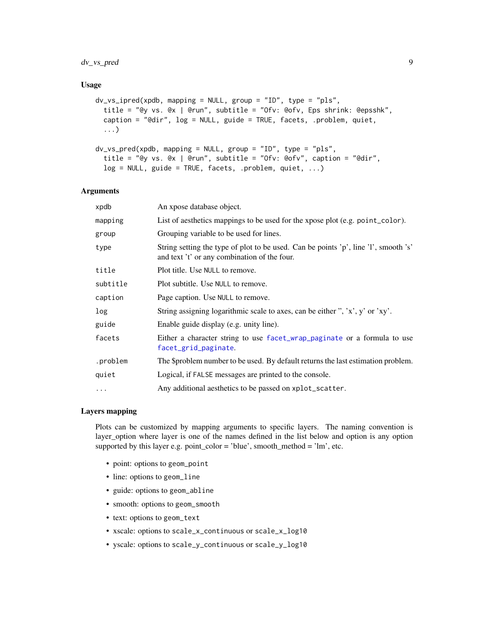### dv\_vs\_pred 9

#### Usage

```
dv_vs_ipred(xpdb, mapping = NULL, group = "ID", type = "pls",
  title = "@y vs. @x | @run", subtitle = "Ofv: @ofv, Eps shrink: @epsshk",
  caption = "@dir", log = NULL, guide = TRUE, facets, .problem, quiet,
  ...)
dv_vs_pred(xpdb, mapping = NULL, group = "ID", type = "pls",
  title = "@y vs. @x | @run", subtitle = "Ofv: @ofv", caption = "@dir",
  log = NULL, guide = TRUE, facets, .problem, quiet, ...)
```
#### Arguments

| xpdb     | An xpose database object.                                                                                                           |
|----------|-------------------------------------------------------------------------------------------------------------------------------------|
| mapping  | List of aesthetics mappings to be used for the xpose plot (e.g. point_color).                                                       |
| group    | Grouping variable to be used for lines.                                                                                             |
| type     | String setting the type of plot to be used. Can be points 'p', line 'l', smooth 's'<br>and text 't' or any combination of the four. |
| title    | Plot title. Use NULL to remove.                                                                                                     |
| subtitle | Plot subtitle. Use NULL to remove.                                                                                                  |
| caption  | Page caption. Use NULL to remove.                                                                                                   |
| log      | String assigning logarithmic scale to axes, can be either ", 'x', y' or 'xy'.                                                       |
| guide    | Enable guide display (e.g. unity line).                                                                                             |
| facets   | Either a character string to use facet_wrap_paginate or a formula to use<br>facet_grid_paginate.                                    |
| .problem | The \$problem number to be used. By default returns the last estimation problem.                                                    |
| quiet    | Logical, if FALSE messages are printed to the console.                                                                              |
| $\cdots$ | Any additional aesthetics to be passed on xplot_scatter.                                                                            |
|          |                                                                                                                                     |

#### Layers mapping

Plots can be customized by mapping arguments to specific layers. The naming convention is layer\_option where layer is one of the names defined in the list below and option is any option supported by this layer e.g. point\_color = 'blue', smooth\_method = 'lm', etc.

- point: options to geom\_point
- line: options to geom\_line
- guide: options to geom\_abline
- smooth: options to geom\_smooth
- text: options to geom\_text
- xscale: options to scale\_x\_continuous or scale\_x\_log10
- yscale: options to scale\_y\_continuous or scale\_y\_log10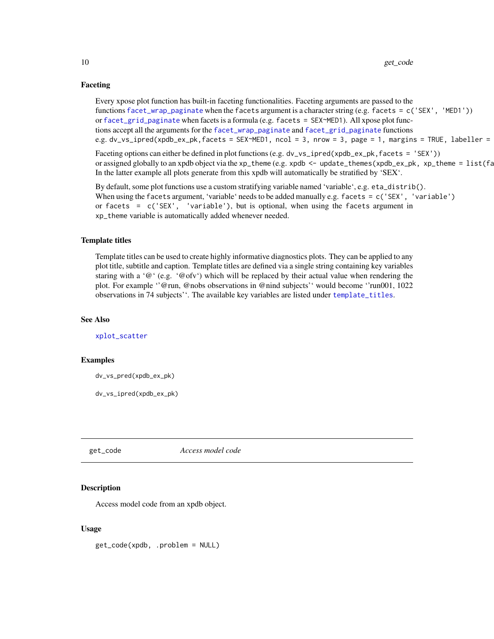### <span id="page-9-0"></span>Faceting

Every xpose plot function has built-in faceting functionalities. Faceting arguments are passed to the functions [facet\\_wrap\\_paginate](#page-0-0) when the facets argument is a character string (e.g. facets = c('SEX', 'MED1')) or [facet\\_grid\\_paginate](#page-0-0) when facets is a formula (e.g. facets = SEX~MED1). All xpose plot functions accept all the arguments for the [facet\\_wrap\\_paginate](#page-0-0) and [facet\\_grid\\_paginate](#page-0-0) functions e.g. dv\_vs\_ipred(xpdb\_ex\_pk,facets = SEX~MED1, ncol = 3, nrow = 3, page = 1, margins = TRUE, labeller =

Faceting options can either be defined in plot functions (e.g. dv\_vs\_ipred(xpdb\_ex\_pk, facets = 'SEX')) or assigned globally to an xpdb object via the xp\_theme (e.g. xpdb  $\leq$  - update\_themes(xpdb\_ex\_pk, xp\_theme =  $list(fa)$ In the latter example all plots generate from this xpdb will automatically be stratified by 'SEX'.

By default, some plot functions use a custom stratifying variable named 'variable', e.g. eta\_distrib(). When using the facets argument, 'variable' needs to be added manually e.g. facets = c('SEX', 'variable') or facets =  $c('SEX', 'variable'), but is optional, when using the facets argument in$ xp\_theme variable is automatically added whenever needed.

#### Template titles

Template titles can be used to create highly informative diagnostics plots. They can be applied to any plot title, subtitle and caption. Template titles are defined via a single string containing key variables staring with a ' $@'$  (e.g. ' $@ofv'$ ) which will be replaced by their actual value when rendering the plot. For example ''@run, @nobs observations in @nind subjects'' would become ''run001, 1022 observations in 74 subjects''. The available key variables are listed under [template\\_titles](#page-43-1).

#### See Also

[xplot\\_scatter](#page-54-1)

### Examples

dv\_vs\_pred(xpdb\_ex\_pk)

dv\_vs\_ipred(xpdb\_ex\_pk)

#### get\_code *Access model code*

#### Description

Access model code from an xpdb object.

#### Usage

get\_code(xpdb, .problem = NULL)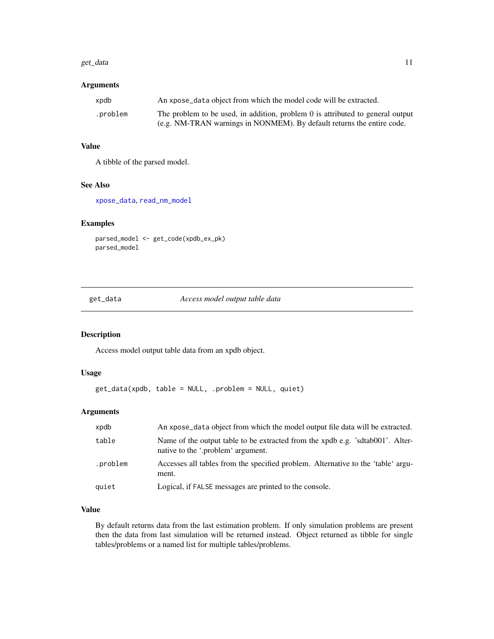#### <span id="page-10-0"></span>get\_data 11

### Arguments

| xpdb     | An xpose data object from which the model code will be extracted.              |
|----------|--------------------------------------------------------------------------------|
| .problem | The problem to be used, in addition, problem 0 is attributed to general output |
|          | (e.g. NM-TRAN warnings in NONMEM). By default returns the entire code.         |

### Value

A tibble of the parsed model.

#### See Also

[xpose\\_data](#page-56-1), [read\\_nm\\_model](#page-32-1)

### Examples

parsed\_model <- get\_code(xpdb\_ex\_pk) parsed\_model

<span id="page-10-1"></span>get\_data *Access model output table data*

#### Description

Access model output table data from an xpdb object.

### Usage

```
get_data(xpdb, table = NULL, .problem = NULL, quiet)
```
### Arguments

| xpdb     | An xpose_data object from which the model output file data will be extracted.                                        |
|----------|----------------------------------------------------------------------------------------------------------------------|
| table    | Name of the output table to be extracted from the xpdb e.g. 'sdtab001'. Alter-<br>native to the '.problem' argument. |
| .problem | Accesses all tables from the specified problem. Alternative to the 'table' argu-<br>ment.                            |
| quiet    | Logical, if FALSE messages are printed to the console.                                                               |

### Value

By default returns data from the last estimation problem. If only simulation problems are present then the data from last simulation will be returned instead. Object returned as tibble for single tables/problems or a named list for multiple tables/problems.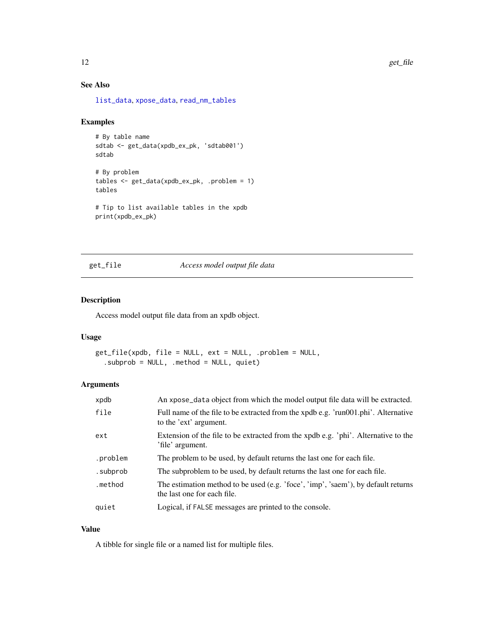### See Also

[list\\_data](#page-19-1), [xpose\\_data](#page-56-1), [read\\_nm\\_tables](#page-33-1)

### Examples

```
# By table name
sdtab <- get_data(xpdb_ex_pk, 'sdtab001')
sdtab
# By problem
tables <- get_data(xpdb_ex_pk, .problem = 1)
tables
# Tip to list available tables in the xpdb
print(xpdb_ex_pk)
```
<span id="page-11-1"></span>get\_file *Access model output file data*

#### Description

Access model output file data from an xpdb object.

### Usage

get\_file(xpdb, file = NULL, ext = NULL, .problem = NULL, .subprob = NULL, .method = NULL, quiet)

### Arguments

| xpdb     | An xpose_data object from which the model output file data will be extracted.                                    |
|----------|------------------------------------------------------------------------------------------------------------------|
| file     | Full name of the file to be extracted from the xpdb e.g. 'run001.phi'. Alternative<br>to the 'ext' argument.     |
| ext      | Extension of the file to be extracted from the xpdb e.g. 'phi'. Alternative to the<br>'file' argument.           |
| .problem | The problem to be used, by default returns the last one for each file.                                           |
| .subprob | The subproblem to be used, by default returns the last one for each file.                                        |
| .method  | The estimation method to be used (e.g. 'foce', 'imp', 'saem'), by default returns<br>the last one for each file. |
| quiet    | Logical, if FALSE messages are printed to the console.                                                           |

### Value

A tibble for single file or a named list for multiple files.

<span id="page-11-0"></span>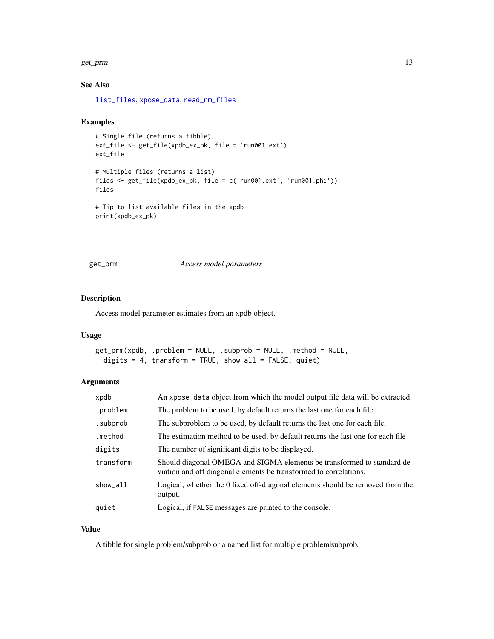#### <span id="page-12-0"></span>get\_prm 13

### See Also

[list\\_files](#page-19-1), [xpose\\_data](#page-56-1), [read\\_nm\\_files](#page-30-1)

### Examples

```
# Single file (returns a tibble)
ext_file <- get_file(xpdb_ex_pk, file = 'run001.ext')
ext_file
# Multiple files (returns a list)
files <- get_file(xpdb_ex_pk, file = c('run001.ext', 'run001.phi'))
files
# Tip to list available files in the xpdb
print(xpdb_ex_pk)
```
<span id="page-12-1"></span>get\_prm *Access model parameters*

### Description

Access model parameter estimates from an xpdb object.

#### Usage

get\_prm(xpdb, .problem = NULL, .subprob = NULL, .method = NULL, digits = 4, transform = TRUE, show\_all = FALSE, quiet)

### Arguments

| xpdb      | An xpose_data object from which the model output file data will be extracted.                                                                |
|-----------|----------------------------------------------------------------------------------------------------------------------------------------------|
| .problem  | The problem to be used, by default returns the last one for each file.                                                                       |
| .subprob  | The subproblem to be used, by default returns the last one for each file.                                                                    |
| .method   | The estimation method to be used, by default returns the last one for each file                                                              |
| digits    | The number of significant digits to be displayed.                                                                                            |
| transform | Should diagonal OMEGA and SIGMA elements be transformed to standard de-<br>viation and off diagonal elements be transformed to correlations. |
| show_all  | Logical, whether the 0 fixed off-diagonal elements should be removed from the<br>output.                                                     |
| quiet     | Logical, if FALSE messages are printed to the console.                                                                                       |

### Value

A tibble for single problem/subprob or a named list for multiple problem|subprob.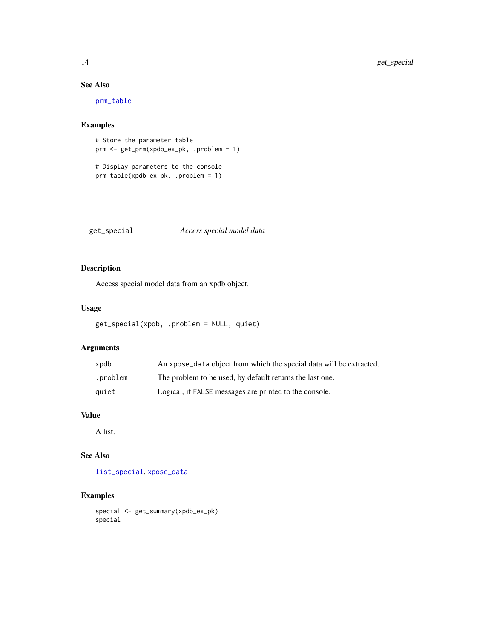### See Also

[prm\\_table](#page-27-1)

### Examples

```
# Store the parameter table
prm <- get_prm(xpdb_ex_pk, .problem = 1)
```

```
# Display parameters to the console
prm_table(xpdb_ex_pk, .problem = 1)
```
<span id="page-13-1"></span>get\_special *Access special model data*

### Description

Access special model data from an xpdb object.

### Usage

```
get_special(xpdb, .problem = NULL, quiet)
```
### Arguments

| xpdb     | An xpose_data object from which the special data will be extracted. |
|----------|---------------------------------------------------------------------|
| .problem | The problem to be used, by default returns the last one.            |
| quiet    | Logical, if FALSE messages are printed to the console.              |

### Value

A list.

### See Also

[list\\_special](#page-19-1), [xpose\\_data](#page-56-1)

### Examples

```
special <- get_summary(xpdb_ex_pk)
special
```
<span id="page-13-0"></span>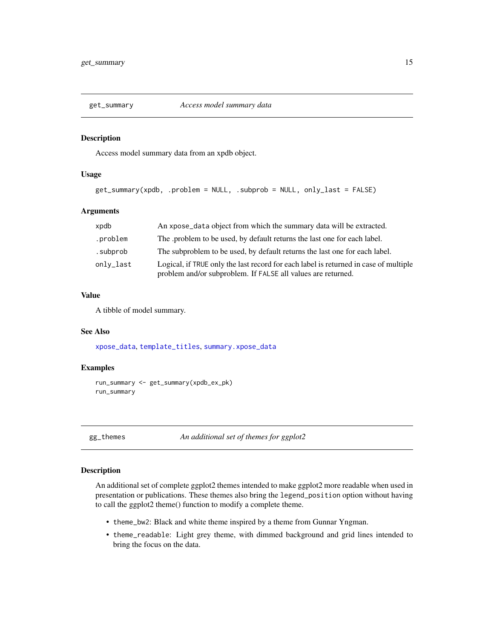<span id="page-14-0"></span>

#### Description

Access model summary data from an xpdb object.

#### Usage

```
get_summary(xpdb, .problem = NULL, .subprob = NULL, only_last = FALSE)
```
#### Arguments

| xpdb      | An xpose_data object from which the summary data will be extracted.                                                                                  |
|-----------|------------------------------------------------------------------------------------------------------------------------------------------------------|
| .problem  | The problem to be used, by default returns the last one for each label.                                                                              |
| .subprob  | The subproblem to be used, by default returns the last one for each label.                                                                           |
| only_last | Logical, if TRUE only the last record for each label is returned in case of multiple<br>problem and/or subproblem. If FALSE all values are returned. |

### Value

A tibble of model summary.

### See Also

[xpose\\_data](#page-56-1), [template\\_titles](#page-43-1), [summary.xpose\\_data](#page-42-1)

### Examples

```
run_summary <- get_summary(xpdb_ex_pk)
run_summary
```
gg\_themes *An additional set of themes for ggplot2*

### Description

An additional set of complete ggplot2 themes intended to make ggplot2 more readable when used in presentation or publications. These themes also bring the legend\_position option without having to call the ggplot2 theme() function to modify a complete theme.

- theme\_bw2: Black and white theme inspired by a theme from Gunnar Yngman.
- theme\_readable: Light grey theme, with dimmed background and grid lines intended to bring the focus on the data.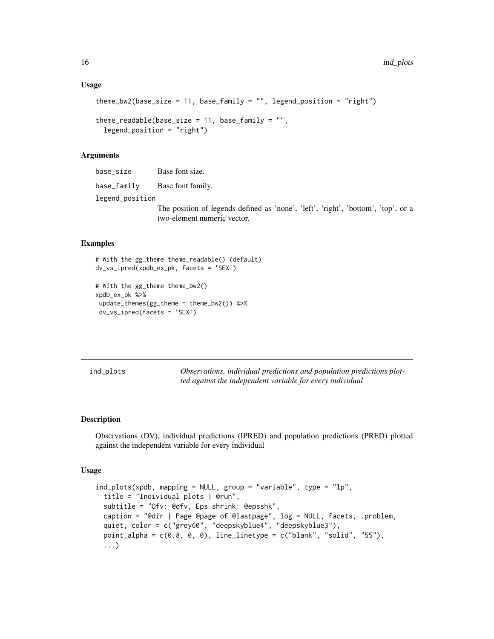#### <span id="page-15-0"></span>Usage

```
theme_bw2(base_size = 11, base_family = "", legend_position = "right")
theme_readable(base_size = 11, base_family = ",
 legent\_position = "right")
```
### Arguments

base\_size Base font size.

base\_family Base font family.

legend\_position

The position of legends defined as 'none', 'left', 'right', 'bottom', 'top', or a two-element numeric vector.

### Examples

```
# With the gg_theme theme_readable() (default)
dv_vs_ipred(xpdb_ex_pk, facets = 'SEX')
# With the gg_theme theme_bw2()
xpdb_ex_pk %>%
```

```
update_themes(gg_theme = theme_bw2()) %>%
dv_vs_ipred(facets = 'SEX')
```
ind\_plots *Observations, individual predictions and population predictions plotted against the independent variable for every individual*

#### Description

Observations (DV), individual predictions (IPRED) and population predictions (PRED) plotted against the independent variable for every individual

#### Usage

```
ind_plots(xpdb, mapping = NULL, group = "variable", type = "lp",
  title = "Individual plots | @run",
 subtitle = "Ofv: @ofv, Eps shrink: @epsshk",
 caption = "@dir | Page @page of @lastpage", log = NULL, facets, .problem,
 quiet, color = c("grey60", "deepskyblue4", "deepskyblue3"),
 point_alpha = c(0.8, 0, 0), line_linetype = c("blank", "solid", "55"),...)
```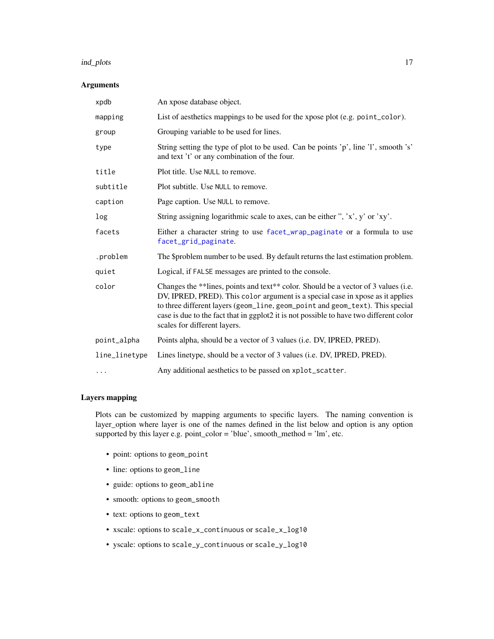#### <span id="page-16-0"></span>ind\_plots 17

### Arguments

| xpdb          | An xpose database object.                                                                                                                                                                                                                                                                                                                                                       |  |
|---------------|---------------------------------------------------------------------------------------------------------------------------------------------------------------------------------------------------------------------------------------------------------------------------------------------------------------------------------------------------------------------------------|--|
| mapping       | List of aesthetics mappings to be used for the xpose plot (e.g. point_color).                                                                                                                                                                                                                                                                                                   |  |
| group         | Grouping variable to be used for lines.                                                                                                                                                                                                                                                                                                                                         |  |
| type          | String setting the type of plot to be used. Can be points 'p', line 'l', smooth 's'<br>and text 't' or any combination of the four.                                                                                                                                                                                                                                             |  |
| title         | Plot title. Use NULL to remove.                                                                                                                                                                                                                                                                                                                                                 |  |
| subtitle      | Plot subtitle. Use NULL to remove.                                                                                                                                                                                                                                                                                                                                              |  |
| caption       | Page caption. Use NULL to remove.                                                                                                                                                                                                                                                                                                                                               |  |
| log           | String assigning logarithmic scale to axes, can be either ", 'x', y' or 'xy'.                                                                                                                                                                                                                                                                                                   |  |
| facets        | Either a character string to use facet_wrap_paginate or a formula to use<br>facet_grid_paginate.                                                                                                                                                                                                                                                                                |  |
| .problem      | The \$problem number to be used. By default returns the last estimation problem.                                                                                                                                                                                                                                                                                                |  |
| quiet         | Logical, if FALSE messages are printed to the console.                                                                                                                                                                                                                                                                                                                          |  |
| color         | Changes the **lines, points and text** color. Should be a vector of 3 values (i.e.<br>DV, IPRED, PRED). This color argument is a special case in xpose as it applies<br>to three different layers (geom_line, geom_point and geom_text). This special<br>case is due to the fact that in ggplot2 it is not possible to have two different color<br>scales for different layers. |  |
| point_alpha   | Points alpha, should be a vector of 3 values (i.e. DV, IPRED, PRED).                                                                                                                                                                                                                                                                                                            |  |
| line_linetype | Lines linetype, should be a vector of 3 values (i.e. DV, IPRED, PRED).                                                                                                                                                                                                                                                                                                          |  |
| $\cdots$      | Any additional aesthetics to be passed on xplot_scatter.                                                                                                                                                                                                                                                                                                                        |  |

### Layers mapping

Plots can be customized by mapping arguments to specific layers. The naming convention is layer\_option where layer is one of the names defined in the list below and option is any option supported by this layer e.g. point\_color = 'blue', smooth\_method = 'lm', etc.

- point: options to geom\_point
- line: options to geom\_line
- guide: options to geom\_abline
- smooth: options to geom\_smooth
- text: options to geom\_text
- xscale: options to scale\_x\_continuous or scale\_x\_log10
- yscale: options to scale\_y\_continuous or scale\_y\_log10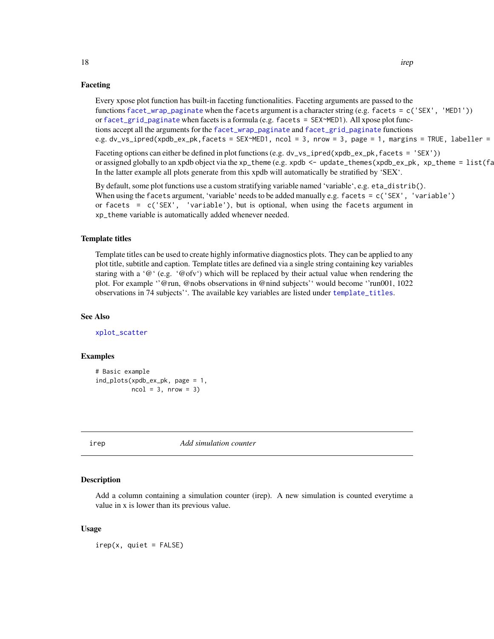#### Faceting

Every xpose plot function has built-in faceting functionalities. Faceting arguments are passed to the functions [facet\\_wrap\\_paginate](#page-0-0) when the facets argument is a character string (e.g. facets = c('SEX', 'MED1')) or [facet\\_grid\\_paginate](#page-0-0) when facets is a formula (e.g. facets = SEX~MED1). All xpose plot functions accept all the arguments for the [facet\\_wrap\\_paginate](#page-0-0) and [facet\\_grid\\_paginate](#page-0-0) functions e.g. dv\_vs\_ipred(xpdb\_ex\_pk,facets = SEX~MED1, ncol = 3, nrow = 3, page = 1, margins = TRUE, labeller =

Faceting options can either be defined in plot functions (e.g. dv\_vs\_ipred(xpdb\_ex\_pk, facets = 'SEX')) or assigned globally to an xpdb object via the xp\_theme (e.g. xpdb  $\leq$  - update\_themes(xpdb\_ex\_pk, xp\_theme =  $list(fa)$ In the latter example all plots generate from this xpdb will automatically be stratified by 'SEX'.

By default, some plot functions use a custom stratifying variable named 'variable', e.g. eta\_distrib(). When using the facets argument, 'variable' needs to be added manually e.g. facets = c('SEX', 'variable') or facets =  $c('SEX', 'variable'), but is optional, when using the facets argument in$ xp\_theme variable is automatically added whenever needed.

#### Template titles

Template titles can be used to create highly informative diagnostics plots. They can be applied to any plot title, subtitle and caption. Template titles are defined via a single string containing key variables staring with a ' $@'$ ' (e.g. ' $@ofv'$ ) which will be replaced by their actual value when rendering the plot. For example ''@run, @nobs observations in @nind subjects'' would become ''run001, 1022 observations in 74 subjects''. The available key variables are listed under [template\\_titles](#page-43-1).

#### See Also

[xplot\\_scatter](#page-54-1)

#### Examples

```
# Basic example
ind_plots(xpdb_ex_pk, page = 1,
          ncol = 3, nrow = 3)
```
irep *Add simulation counter*

#### Description

Add a column containing a simulation counter (irep). A new simulation is counted everytime a value in x is lower than its previous value.

#### Usage

 $irep(x, quiet = FALSE)$ 

<span id="page-17-0"></span>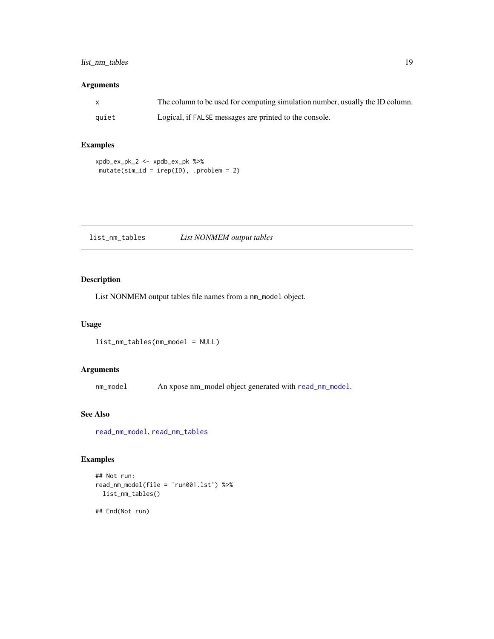### <span id="page-18-0"></span>list\_nm\_tables 19

### Arguments

| $\mathsf{x}$ | The column to be used for computing simulation number, usually the ID column. |
|--------------|-------------------------------------------------------------------------------|
| quiet        | Logical, if FALSE messages are printed to the console.                        |

### Examples

```
xpdb_ex_pk_2 <- xpdb_ex_pk %>%
mutate(sim_id = irep(ID),.problem = 2)
```
list\_nm\_tables *List NONMEM output tables*

### Description

List NONMEM output tables file names from a nm\_model object.

#### Usage

list\_nm\_tables(nm\_model = NULL)

### Arguments

nm\_model An xpose nm\_model object generated with [read\\_nm\\_model](#page-32-1).

### See Also

[read\\_nm\\_model](#page-32-1), [read\\_nm\\_tables](#page-33-1)

### Examples

```
## Not run:
read_nm_model(file = 'run001.lst') %>%
  list_nm_tables()
```
## End(Not run)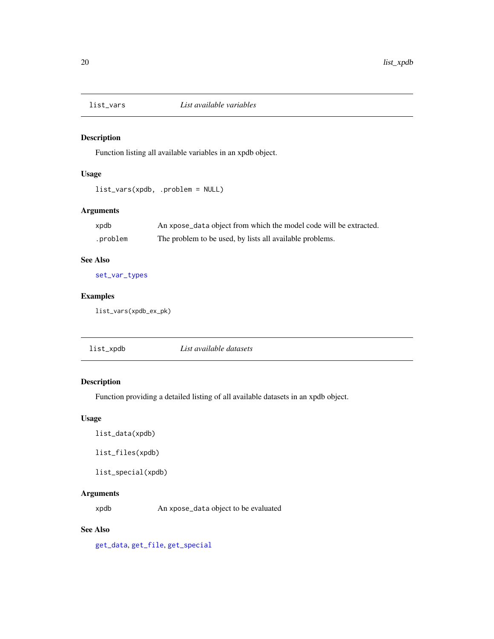<span id="page-19-2"></span><span id="page-19-0"></span>

### Description

Function listing all available variables in an xpdb object.

### Usage

list\_vars(xpdb, .problem = NULL)

### Arguments

| xpdb     | An xpose_data object from which the model code will be extracted. |
|----------|-------------------------------------------------------------------|
| .problem | The problem to be used, by lists all available problems.          |

### See Also

[set\\_var\\_types](#page-38-1)

### Examples

list\_vars(xpdb\_ex\_pk)

| List available datasets<br>list_xpdb |  |
|--------------------------------------|--|
|--------------------------------------|--|

## <span id="page-19-1"></span>Description

Function providing a detailed listing of all available datasets in an xpdb object.

### Usage

list\_data(xpdb)

list\_files(xpdb)

list\_special(xpdb)

### Arguments

xpdb An xpose\_data object to be evaluated

### See Also

[get\\_data](#page-10-1), [get\\_file](#page-11-1), [get\\_special](#page-13-1)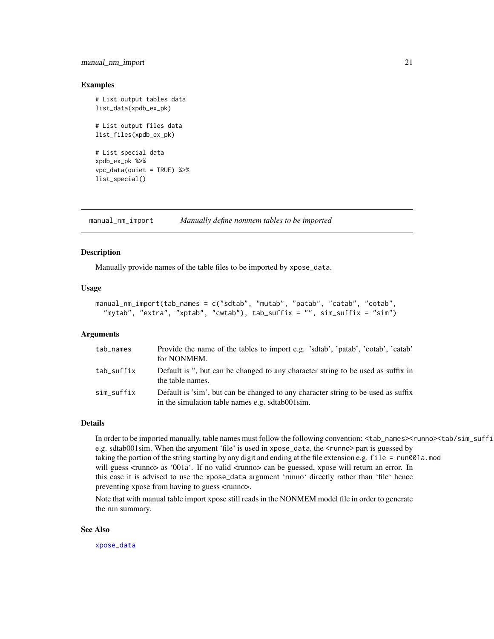### <span id="page-20-0"></span>manual\_nm\_import 21

#### Examples

```
# List output tables data
list_data(xpdb_ex_pk)
# List output files data
list_files(xpdb_ex_pk)
# List special data
xpdb_ex_pk %>%
vpc_data(quiet = TRUE) %>%
list_special()
```
<span id="page-20-1"></span>manual\_nm\_import *Manually define nonmem tables to be imported*

### Description

Manually provide names of the table files to be imported by xpose\_data.

#### Usage

```
manual_nm_import(tab_names = c("sdtab", "mutab", "patab", "catab", "cotab",
  "mytab", "extra", "xptab", "cwtab"), tab_suffix = "", sim_suffix = "sim")
```
#### Arguments

| tab_names  | Provide the name of the tables to import e.g. 'sdtab', 'patab', 'cotab', 'catab'<br>for NONMEM.                                      |
|------------|--------------------------------------------------------------------------------------------------------------------------------------|
| tab_suffix | Default is ", but can be changed to any character string to be used as suffix in<br>the table names.                                 |
| sim_suffix | Default is 'sim', but can be changed to any character string to be used as suffix<br>in the simulation table names e.g. sdtab001sim. |

#### Details

In order to be imported manually, table names must follow the following convention: <tab\_names><runno><tab/sim\_suffi e.g. sdtab001sim. When the argument 'file' is used in xpose\_data, the <runno> part is guessed by taking the portion of the string starting by any digit and ending at the file extension e.g. file = run001a.mod will guess <runno> as '001a'. If no valid <runno> can be guessed, xpose will return an error. In this case it is advised to use the xpose\_data argument 'runno' directly rather than 'file' hence preventing xpose from having to guess <runno>.

Note that with manual table import xpose still reads in the NONMEM model file in order to generate the run summary.

#### See Also

[xpose\\_data](#page-56-1)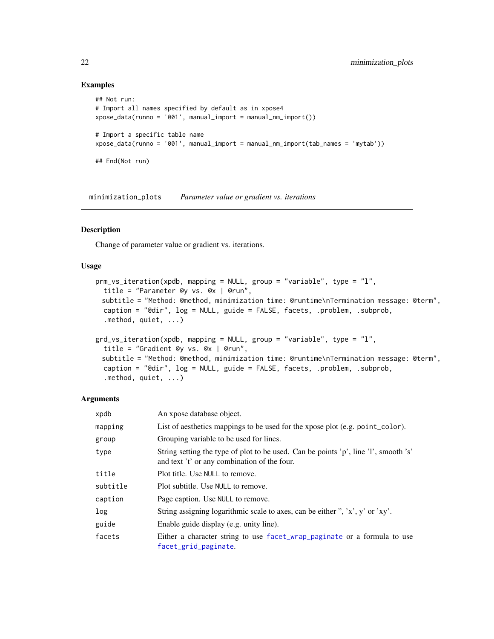### Examples

```
## Not run:
# Import all names specified by default as in xpose4
xpose_data(runno = '001', manual_import = manual_nm_import())
# Import a specific table name
xpose_data(runno = '001', manual_import = manual_nm_import(tab_names = 'mytab'))
## End(Not run)
```
minimization\_plots *Parameter value or gradient vs. iterations*

#### Description

Change of parameter value or gradient vs. iterations.

#### Usage

```
prm_vs_iteration(xpdb, mapping = NULL, group = "variable", type = "l",
 title = "Parameter @y vs. @x | @run",
 subtitle = "Method: @method, minimization time: @runtime\nTermination message: @term",
 caption = "@dir", log = NULL, guide = FALSE, facets, .problem, .subprob,
  .method, quiet, ...)
grd_vs_iteration(xpdb, mapping = NULL, group = "variable", type = "l",
  title = "Gradient @y vs. @x | @run",
 subtitle = "Method: @method, minimization time: @runtime\nTermination message: @term",
 caption = "@dir", log = NULL, guide = FALSE, facets, .problem, .subprob,
```
.method, quiet, ...)

### Arguments

| xpdb     | An xpose database object.                                                                                                           |
|----------|-------------------------------------------------------------------------------------------------------------------------------------|
| mapping  | List of aesthetics mappings to be used for the xpose plot (e.g. point_color).                                                       |
| group    | Grouping variable to be used for lines.                                                                                             |
| type     | String setting the type of plot to be used. Can be points 'p', line 'l', smooth 's'<br>and text 't' or any combination of the four. |
| title    | Plot title. Use NULL to remove.                                                                                                     |
| subtitle | Plot subtitle. Use NULL to remove.                                                                                                  |
| caption  | Page caption. Use NULL to remove.                                                                                                   |
| log      | String assigning logarithmic scale to axes, can be either ", 'x', y' or 'xy'.                                                       |
| guide    | Enable guide display (e.g. unity line).                                                                                             |
| facets   | Either a character string to use facet_wrap_paginate or a formula to use<br>facet_grid_paginate.                                    |

<span id="page-21-0"></span>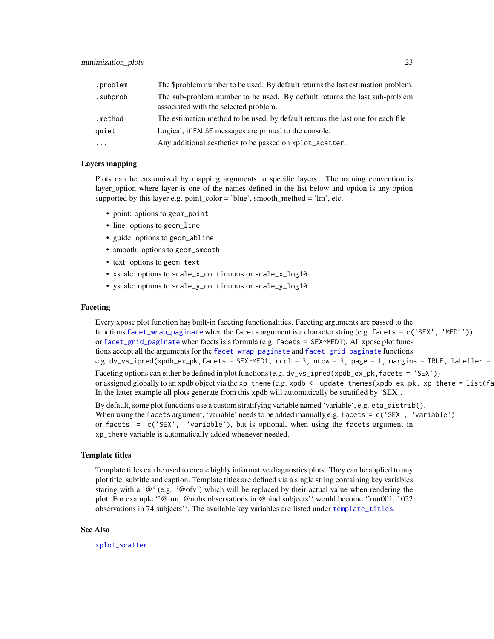<span id="page-22-0"></span>

| .problem | The \$problem number to be used. By default returns the last estimation problem.                                    |
|----------|---------------------------------------------------------------------------------------------------------------------|
| .subprob | The sub-problem number to be used. By default returns the last sub-problem<br>associated with the selected problem. |
| .method  | The estimation method to be used, by default returns the last one for each file                                     |
| quiet    | Logical, if FALSE messages are printed to the console.                                                              |
| $\cdots$ | Any additional aesthetics to be passed on xplot_scatter.                                                            |

### Layers mapping

Plots can be customized by mapping arguments to specific layers. The naming convention is layer\_option where layer is one of the names defined in the list below and option is any option supported by this layer e.g. point\_color = 'blue', smooth\_method = 'lm', etc.

- point: options to geom\_point
- line: options to geom\_line
- guide: options to geom\_abline
- smooth: options to geom\_smooth
- text: options to geom\_text
- xscale: options to scale\_x\_continuous or scale\_x\_log10
- yscale: options to scale\_y\_continuous or scale\_y\_log10

#### Faceting

Every xpose plot function has built-in faceting functionalities. Faceting arguments are passed to the functions [facet\\_wrap\\_paginate](#page-0-0) when the facets argument is a character string (e.g. facets = c('SEX', 'MED1')) or [facet\\_grid\\_paginate](#page-0-0) when facets is a formula (e.g. facets = SEX~MED1). All xpose plot functions accept all the arguments for the [facet\\_wrap\\_paginate](#page-0-0) and [facet\\_grid\\_paginate](#page-0-0) functions e.g. dv\_vs\_ipred(xpdb\_ex\_pk,facets = SEX~MED1, ncol = 3, nrow = 3, page = 1, margins = TRUE, labeller = Faceting options can either be defined in plot functions (e.g. dv\_vs\_ipred(xpdb\_ex\_pk, facets = 'SEX')) or assigned globally to an xpdb object via the xp\_theme (e.g. xpdb  $\leq$  - update\_themes(xpdb\_ex\_pk, xp\_theme =  $list(fa)$ In the latter example all plots generate from this xpdb will automatically be stratified by 'SEX'.

By default, some plot functions use a custom stratifying variable named 'variable', e.g. eta\_distrib(). When using the facets argument, 'variable' needs to be added manually e.g. facets = c('SEX', 'variable') or facets =  $c('SEX', 'variable'), but is optional, when using the facets argument in$ xp\_theme variable is automatically added whenever needed.

#### Template titles

Template titles can be used to create highly informative diagnostics plots. They can be applied to any plot title, subtitle and caption. Template titles are defined via a single string containing key variables staring with a ' $@'$  (e.g. ' $@$ ofv') which will be replaced by their actual value when rendering the plot. For example ''@run, @nobs observations in @nind subjects'' would become ''run001, 1022 observations in 74 subjects''. The available key variables are listed under [template\\_titles](#page-43-1).

#### See Also

[xplot\\_scatter](#page-54-1)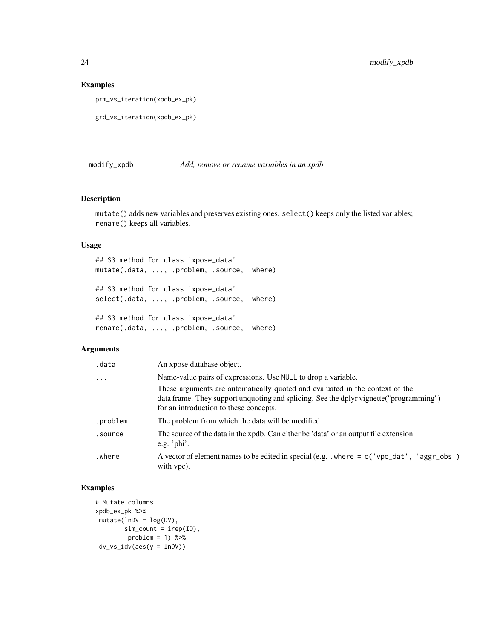### Examples

prm\_vs\_iteration(xpdb\_ex\_pk)

```
grd_vs_iteration(xpdb_ex_pk)
```
### modify\_xpdb *Add, remove or rename variables in an xpdb*

#### Description

mutate() adds new variables and preserves existing ones. select() keeps only the listed variables; rename() keeps all variables.

### Usage

## S3 method for class 'xpose\_data' mutate(.data, ..., .problem, .source, .where) ## S3 method for class 'xpose\_data' select(.data, ..., .problem, .source, .where) ## S3 method for class 'xpose\_data'

```
rename(.data, ..., .problem, .source, .where)
```
### Arguments

| .data     | An xpose database object.                                                                                                                                                                                         |
|-----------|-------------------------------------------------------------------------------------------------------------------------------------------------------------------------------------------------------------------|
| $\ddotsc$ | Name-value pairs of expressions. Use NULL to drop a variable.                                                                                                                                                     |
|           | These arguments are automatically quoted and evaluated in the context of the<br>data frame. They support unquoting and splicing. See the dplyr vignette ("programming")<br>for an introduction to these concepts. |
| .problem  | The problem from which the data will be modified                                                                                                                                                                  |
| .source   | The source of the data in the xpdb. Can either be 'data' or an output file extension<br>e.g. ' $phi$ '.                                                                                                           |
| where     | A vector of element names to be edited in special (e.g. $\mu$ where = c('vpc_dat', 'aggr_obs')<br>with vpc).                                                                                                      |

### Examples

```
# Mutate columns
xpdb_ex_pk %>%
mutate(lnDV = log(DV)),sim\_count = irep(ID),
       .problem = 1) %>%
 dv_vs_idv(aes(y = lnDV))
```
<span id="page-23-0"></span>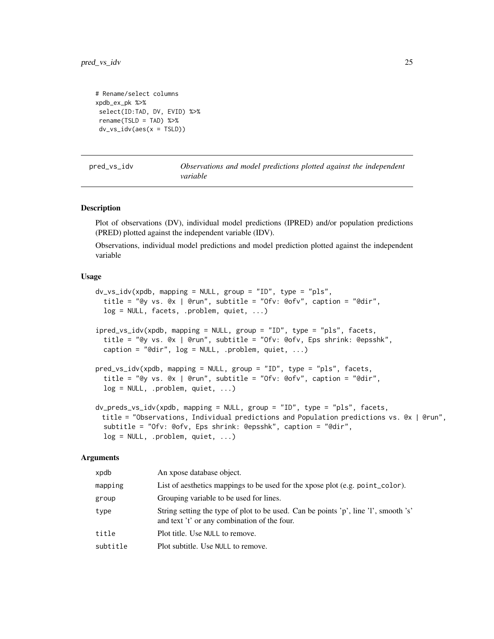```
# Rename/select columns
xpdb_ex_pk %>%
select(ID:TAD, DV, EVID) %>%
rename(TSLD = TAD) %>%
dv_vs_idv(aes(x = TSLD))
```
pred\_vs\_idv *Observations and model predictions plotted against the independent variable*

#### Description

Plot of observations (DV), individual model predictions (IPRED) and/or population predictions (PRED) plotted against the independent variable (IDV).

Observations, individual model predictions and model prediction plotted against the independent variable

#### Usage

```
dv_vs_idv(xpdb, mapping = NULL, group = "ID", type = "pls",
 title = "@y vs. @x | @run", subtitle = "Ofv: @ofv", caption = "@dir",
 log = NULL, facets, .problem, quiet, ...)
ipred_vs_idv(xpdb, mapping = NULL, group = "ID", type = "pls", facets,
  title = "@y vs. @x | @run", subtitle = "Ofv: @ofv, Eps shrink: @epsshk",
  caption = "@dir", log = NULL, .problem, quiet, ...)
pred_vs_idv(xpdb, mapping = NULL, group = "ID", type = "pls", facets,
  title = "@y vs. @x | @run", subtitle = "Ofv: @ofv", caption = "@dir",
 log = NULL, .problem, quiet, ...)
dv_preds_vs_idv(xpdb, mapping = NULL, group = "ID", type = "pls", facets,
 title = "Observations, Individual predictions and Population predictions vs. @x | @run",
  subtitle = "Ofv: @ofv, Eps shrink: @epsshk", caption = "@dir",
 log = NULL, .problem, quiet, ...)
```
#### Arguments

| xpdb     | An xpose database object.                                                                                                           |
|----------|-------------------------------------------------------------------------------------------------------------------------------------|
| mapping  | List of aesthetics mappings to be used for the xpose plot (e.g. point_color).                                                       |
| group    | Grouping variable to be used for lines.                                                                                             |
| type     | String setting the type of plot to be used. Can be points 'p', line 'l', smooth 's'<br>and text 't' or any combination of the four. |
| title    | Plot title. Use NULL to remove.                                                                                                     |
| subtitle | Plot subtitle. Use NULL to remove.                                                                                                  |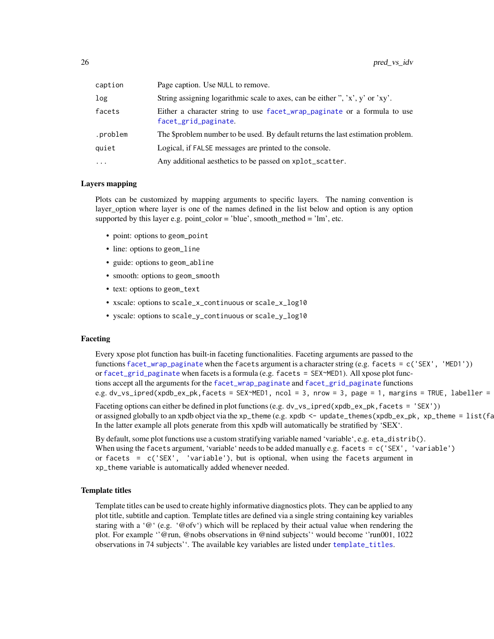<span id="page-25-0"></span>

| caption  | Page caption. Use NULL to remove.                                                                |
|----------|--------------------------------------------------------------------------------------------------|
| log      | String assigning logarithmic scale to axes, can be either ", 'x', y' or 'xy'.                    |
| facets   | Either a character string to use facet_wrap_paginate or a formula to use<br>facet_grid_paginate. |
| .problem | The \$problem number to be used. By default returns the last estimation problem.                 |
| quiet    | Logical, if FALSE messages are printed to the console.                                           |
| $\cdots$ | Any additional aesthetics to be passed on xplot_scatter.                                         |

### Layers mapping

Plots can be customized by mapping arguments to specific layers. The naming convention is layer\_option where layer is one of the names defined in the list below and option is any option supported by this layer e.g. point color = 'blue', smooth method = 'lm', etc.

- point: options to geom\_point
- line: options to geom\_line
- guide: options to geom\_abline
- smooth: options to geom\_smooth
- text: options to geom\_text
- xscale: options to scale\_x\_continuous or scale\_x\_log10
- yscale: options to scale\_y\_continuous or scale\_y\_log10

### Faceting

Every xpose plot function has built-in faceting functionalities. Faceting arguments are passed to the functions [facet\\_wrap\\_paginate](#page-0-0) when the facets argument is a character string (e.g. facets = c('SEX', 'MED1')) or [facet\\_grid\\_paginate](#page-0-0) when facets is a formula (e.g. facets = SEX~MED1). All xpose plot functions accept all the arguments for the [facet\\_wrap\\_paginate](#page-0-0) and [facet\\_grid\\_paginate](#page-0-0) functions e.g. dv\_vs\_ipred(xpdb\_ex\_pk,facets = SEX~MED1, ncol = 3, nrow = 3, page = 1, margins = TRUE, labeller =

Faceting options can either be defined in plot functions (e.g. dv\_vs\_ipred(xpdb\_ex\_pk, facets = 'SEX')) or assigned globally to an xpdb object via the xp\_theme (e.g. xpdb  $\leq$  - update\_themes(xpdb\_ex\_pk, xp\_theme =  $list(fa)$ In the latter example all plots generate from this xpdb will automatically be stratified by 'SEX'.

By default, some plot functions use a custom stratifying variable named 'variable', e.g. eta\_distrib(). When using the facets argument, 'variable' needs to be added manually e.g. facets = c('SEX', 'variable') or facets =  $c('SEX', 'variable'), but is optional, when using the facets argument in$ xp\_theme variable is automatically added whenever needed.

#### Template titles

Template titles can be used to create highly informative diagnostics plots. They can be applied to any plot title, subtitle and caption. Template titles are defined via a single string containing key variables staring with a ' $@'$  (e.g. ' $@$  ofv') which will be replaced by their actual value when rendering the plot. For example ''@run, @nobs observations in @nind subjects'' would become ''run001, 1022 observations in 74 subjects''. The available key variables are listed under [template\\_titles](#page-43-1).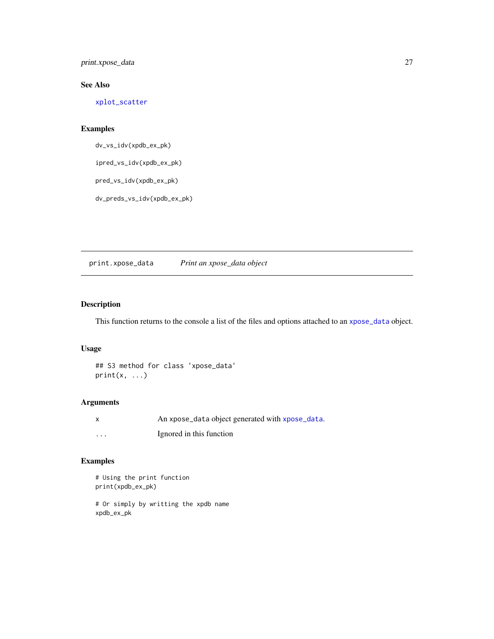<span id="page-26-0"></span>print.xpose\_data 27

### See Also

[xplot\\_scatter](#page-54-1)

### Examples

dv\_vs\_idv(xpdb\_ex\_pk)

ipred\_vs\_idv(xpdb\_ex\_pk)

pred\_vs\_idv(xpdb\_ex\_pk)

dv\_preds\_vs\_idv(xpdb\_ex\_pk)

print.xpose\_data *Print an xpose\_data object*

### Description

This function returns to the console a list of the files and options attached to an [xpose\\_data](#page-56-1) object.

### Usage

## S3 method for class 'xpose\_data'  $print(x, \ldots)$ 

#### Arguments

|          | An xpose_data object generated with xpose_data. |
|----------|-------------------------------------------------|
| $\cdots$ | Ignored in this function                        |

### Examples

```
# Using the print function
print(xpdb_ex_pk)
```
# Or simply by writting the xpdb name xpdb\_ex\_pk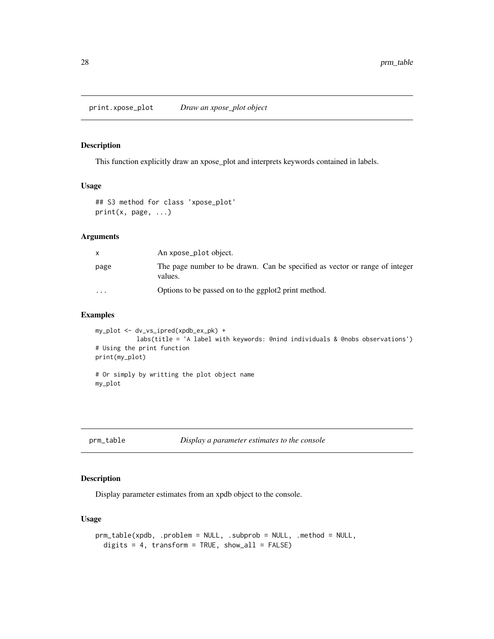<span id="page-27-0"></span>print.xpose\_plot *Draw an xpose\_plot object*

### Description

This function explicitly draw an xpose\_plot and interprets keywords contained in labels.

### Usage

```
## S3 method for class 'xpose_plot'
print(x, page, ...)
```
### Arguments

|                         | An xpose_plot object.                                                                  |
|-------------------------|----------------------------------------------------------------------------------------|
| page                    | The page number to be drawn. Can be specified as vector or range of integer<br>values. |
| $\cdot$ $\cdot$ $\cdot$ | Options to be passed on to the ggplot2 print method.                                   |

### Examples

```
my_plot <- dv_vs_ipred(xpdb_ex_pk) +
           labs(title = 'A label with keywords: @nind individuals & @nobs observations')
# Using the print function
print(my_plot)
# Or simply by writting the plot object name
my_plot
```
<span id="page-27-1"></span>prm\_table *Display a parameter estimates to the console*

### Description

Display parameter estimates from an xpdb object to the console.

### Usage

```
prm_table(xpdb, .problem = NULL, .subprob = NULL, .method = NULL,
 digits = 4, transform = TRUE, show_all = FALSE)
```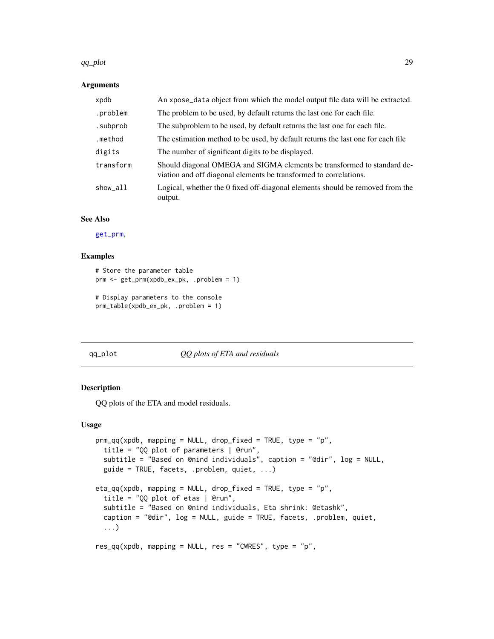#### <span id="page-28-0"></span>qq\_plot 29

#### Arguments

| xpdb      | An xpose_data object from which the model output file data will be extracted.                                                                |
|-----------|----------------------------------------------------------------------------------------------------------------------------------------------|
| .problem  | The problem to be used, by default returns the last one for each file.                                                                       |
| .subprob  | The subproblem to be used, by default returns the last one for each file.                                                                    |
| .method   | The estimation method to be used, by default returns the last one for each file                                                              |
| digits    | The number of significant digits to be displayed.                                                                                            |
| transform | Should diagonal OMEGA and SIGMA elements be transformed to standard de-<br>viation and off diagonal elements be transformed to correlations. |
| show_all  | Logical, whether the 0 fixed off-diagonal elements should be removed from the<br>output.                                                     |

#### See Also

[get\\_prm](#page-12-1),

#### Examples

```
# Store the parameter table
prm <- get_prm(xpdb_ex_pk, .problem = 1)
# Display parameters to the console
prm_table(xpdb_ex_pk, .problem = 1)
```
#### qq\_plot *QQ plots of ETA and residuals*

### Description

QQ plots of the ETA and model residuals.

#### Usage

```
prm_qq(xpdb, mapping = NULL, drop_fixed = TRUE, type = "p",
  title = "QQ plot of parameters | @run",
  subtitle = "Based on @nind individuals", caption = "@dir", log = NULL,
  guide = TRUE, facets, .problem, quiet, ...)
eta_qq(xpdb, mapping = NULL, drop_fixed = TRUE, type = "p",
  title = "QQ plot of etas | @run",
  subtitle = "Based on @nind individuals, Eta shrink: @etashk",
  caption = "@dir", log = NULL, guide = TRUE, facets, .problem, quiet,
  ...)
res_qq(xpdb, mapping = NULL, res = "CWRES", type = "p",
```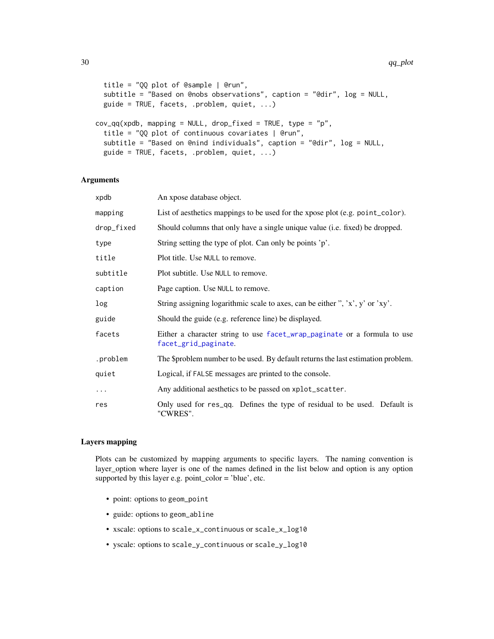```
title = "QQ plot of @sample | @run",
 subtitle = "Based on @nobs observations", caption = "@dir", log = NULL,
 guide = TRUE, facets, .problem, quiet, \ldots)
cov_qq(xpdb, mapping = NULL, drop\_fixed = TRUE, type = "p",title = "QQ plot of continuous covariates | @run",
 subtitle = "Based on @nind individuals", caption = "@dir", log = NULL,
 guide = TRUE, facets, .problem, quiet, ...)
```
### Arguments

| xpdb       | An xpose database object.                                                                        |
|------------|--------------------------------------------------------------------------------------------------|
| mapping    | List of aesthetics mappings to be used for the xpose plot (e.g. point_color).                    |
| drop_fixed | Should columns that only have a single unique value (i.e. fixed) be dropped.                     |
| type       | String setting the type of plot. Can only be points 'p'.                                         |
| title      | Plot title. Use NULL to remove.                                                                  |
| subtitle   | Plot subtitle. Use NULL to remove.                                                               |
| caption    | Page caption. Use NULL to remove.                                                                |
| log        | String assigning logarithmic scale to axes, can be either ", 'x', y' or 'xy'.                    |
| guide      | Should the guide (e.g. reference line) be displayed.                                             |
| facets     | Either a character string to use facet_wrap_paginate or a formula to use<br>facet_grid_paginate. |
| .problem   | The \$problem number to be used. By default returns the last estimation problem.                 |
| quiet      | Logical, if FALSE messages are printed to the console.                                           |
| .          | Any additional aesthetics to be passed on xplot_scatter.                                         |
| res        | Only used for res_qq. Defines the type of residual to be used. Default is<br>"CWRES".            |

#### Layers mapping

Plots can be customized by mapping arguments to specific layers. The naming convention is layer\_option where layer is one of the names defined in the list below and option is any option supported by this layer e.g. point\_color = 'blue', etc.

- point: options to geom\_point
- guide: options to geom\_abline
- xscale: options to scale\_x\_continuous or scale\_x\_log10
- yscale: options to scale\_y\_continuous or scale\_y\_log10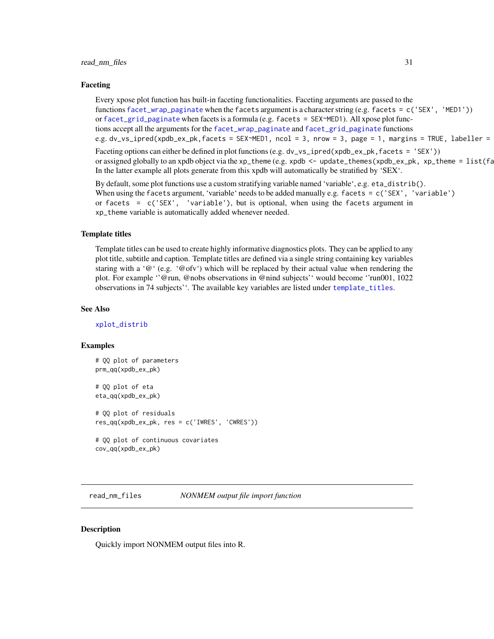#### <span id="page-30-0"></span>Faceting

Every xpose plot function has built-in faceting functionalities. Faceting arguments are passed to the functions [facet\\_wrap\\_paginate](#page-0-0) when the facets argument is a character string (e.g. facets = c('SEX', 'MED1')) or [facet\\_grid\\_paginate](#page-0-0) when facets is a formula (e.g. facets = SEX~MED1). All xpose plot functions accept all the arguments for the [facet\\_wrap\\_paginate](#page-0-0) and [facet\\_grid\\_paginate](#page-0-0) functions e.g. dv\_vs\_ipred(xpdb\_ex\_pk,facets = SEX~MED1, ncol = 3, nrow = 3, page = 1, margins = TRUE, labeller =

Faceting options can either be defined in plot functions (e.g. dv\_vs\_ipred(xpdb\_ex\_pk, facets = 'SEX')) or assigned globally to an xpdb object via the xp\_theme (e.g. xpdb  $\leq$  - update\_themes(xpdb\_ex\_pk, xp\_theme =  $list(fa)$ In the latter example all plots generate from this xpdb will automatically be stratified by 'SEX'.

By default, some plot functions use a custom stratifying variable named 'variable', e.g. eta\_distrib(). When using the facets argument, 'variable' needs to be added manually e.g. facets = c('SEX', 'variable') or facets =  $c('SEX', 'variable'), but is optional, when using the facets argument in$ xp\_theme variable is automatically added whenever needed.

#### Template titles

Template titles can be used to create highly informative diagnostics plots. They can be applied to any plot title, subtitle and caption. Template titles are defined via a single string containing key variables staring with a ' $@'$  (e.g. ' $@ofv'$ ) which will be replaced by their actual value when rendering the plot. For example ''@run, @nobs observations in @nind subjects'' would become ''run001, 1022 observations in 74 subjects''. The available key variables are listed under [template\\_titles](#page-43-1).

#### See Also

[xplot\\_distrib](#page-51-1)

#### Examples

```
# QQ plot of parameters
prm_qq(xpdb_ex_pk)
# QQ plot of eta
eta_qq(xpdb_ex_pk)
# QQ plot of residuals
res_qq(xpdb_ex_pk, res = c('IWRES', 'CWRES'))
# QQ plot of continuous covariates
cov_qq(xpdb_ex_pk)
```
<span id="page-30-1"></span>read\_nm\_files *NONMEM output file import function*

#### Description

Quickly import NONMEM output files into R.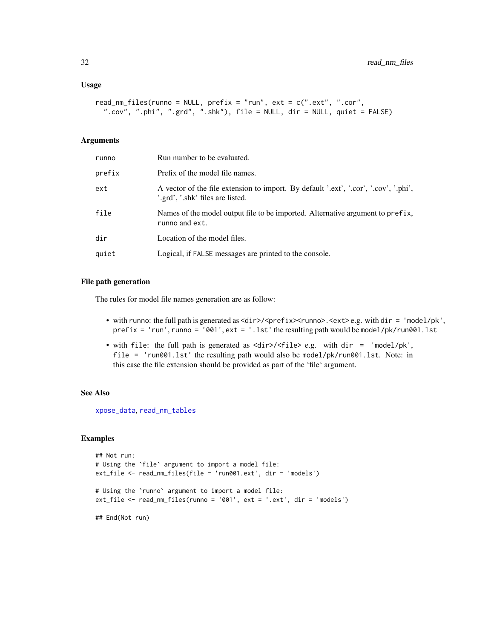```
read_nm_files(runno = NULL, prefix = "run", ext = c(".ext", ".cor",
  ".cov", ".phi", ".grd", ".shk"), file = NULL, dir = NULL, quiet = FALSE)
```
#### Arguments

| runno  | Run number to be evaluated.                                                                                              |
|--------|--------------------------------------------------------------------------------------------------------------------------|
| prefix | Prefix of the model file names.                                                                                          |
| ext    | A vector of the file extension to import. By default '.ext', '.cor', '.cov', '.phi',<br>'.grd', '.shk' files are listed. |
| file   | Names of the model output file to be imported. Alternative argument to prefix,<br>runno and ext.                         |
| dir    | Location of the model files.                                                                                             |
| quiet  | Logical, if FALSE messages are printed to the console.                                                                   |

#### File path generation

The rules for model file names generation are as follow:

- with runno: the full path is generated as <dir>/<prefix><runno>.<ext>e.g. with dir = 'model/pk', prefix = 'run', runno = '001', ext = '.lst' the resulting path would be model/pk/run001.lst
- with file: the full path is generated as <dir>/<file> e.g. with dir = 'model/pk', file = 'run001.lst' the resulting path would also be model/pk/run001.lst. Note: in this case the file extension should be provided as part of the 'file' argument.

#### See Also

[xpose\\_data](#page-56-1), [read\\_nm\\_tables](#page-33-1)

### Examples

```
## Not run:
# Using the `file` argument to import a model file:
ext_file <- read_nm_files(file = 'run001.ext', dir = 'models')
# Using the `runno` argument to import a model file:
ext_file <- read_nm_files(runno = '001', ext = '.ext', dir = 'models')
## End(Not run)
```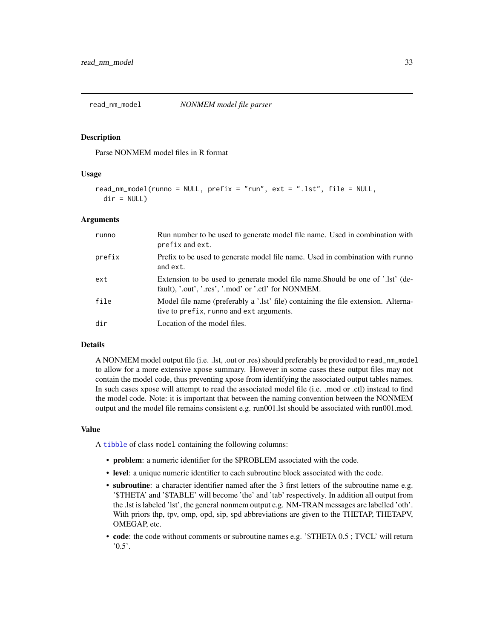<span id="page-32-1"></span><span id="page-32-0"></span>

### Description

Parse NONMEM model files in R format

### Usage

```
read_nm_model(runno = NULL, prefix = "run", ext = ".lst", file = NULL,
 dir = NULL
```
#### **Arguments**

| runno  | Run number to be used to generate model file name. Used in combination with<br>prefix and ext.                                         |
|--------|----------------------------------------------------------------------------------------------------------------------------------------|
| prefix | Prefix to be used to generate model file name. Used in combination with runno<br>and ext.                                              |
| ext    | Extension to be used to generate model file name. Should be one of '.lst' (de-<br>fault), '.out', '.res', '.mod' or '.ctl' for NONMEM. |
| file   | Model file name (preferably a '.lst' file) containing the file extension. Alterna-<br>tive to prefix, runno and ext arguments.         |
| dir    | Location of the model files.                                                                                                           |

#### Details

A NONMEM model output file (i.e. .lst, .out or .res) should preferably be provided to read\_nm\_model to allow for a more extensive xpose summary. However in some cases these output files may not contain the model code, thus preventing xpose from identifying the associated output tables names. In such cases xpose will attempt to read the associated model file (i.e. .mod or .ctl) instead to find the model code. Note: it is important that between the naming convention between the NONMEM output and the model file remains consistent e.g. run001.lst should be associated with run001.mod.

#### Value

A [tibble](#page-0-0) of class model containing the following columns:

- problem: a numeric identifier for the \$PROBLEM associated with the code.
- level: a unique numeric identifier to each subroutine block associated with the code.
- subroutine: a character identifier named after the 3 first letters of the subroutine name e.g. '\$THETA' and '\$TABLE' will become 'the' and 'tab' respectively. In addition all output from the .lst is labeled 'lst', the general nonmem output e.g. NM-TRAN messages are labelled 'oth'. With priors thp, tpv, omp, opd, sip, spd abbreviations are given to the THETAP, THETAPV, OMEGAP, etc.
- code: the code without comments or subroutine names e.g. '\$THETA 0.5 ; TVCL' will return  $0.5$ <sup>'</sup>.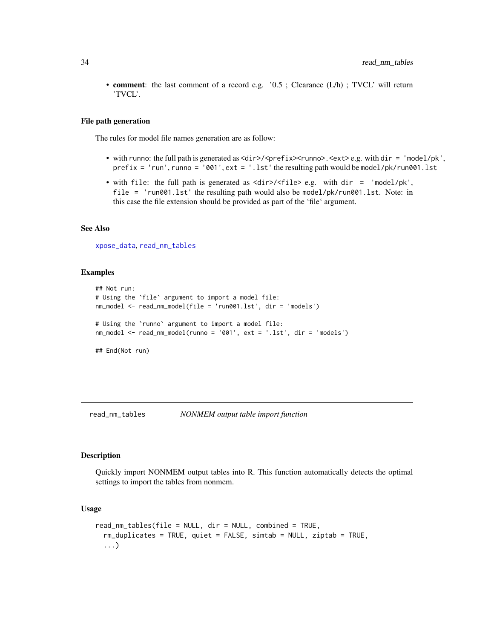<span id="page-33-0"></span>• **comment**: the last comment of a record e.g. '0.5 ; Clearance (L/h) ; TVCL' will return 'TVCL'.

#### File path generation

The rules for model file names generation are as follow:

- with runno: the full path is generated as  $\langle \text{dir}\rangle / \langle \text{prefix}\rangle$ ,  $\langle \text{curl}\rangle$ ,  $\langle \text{ext}\rangle$  e.g. with dir = 'model/pk',  $prefix = 'run', runno = '001', ext = '.lst' the resulting path would be model/pk/run001.lst$
- with file: the full path is generated as <dir>/<file> e.g. with dir = 'model/pk', file = 'run001.lst' the resulting path would also be model/pk/run001.lst. Note: in this case the file extension should be provided as part of the 'file' argument.

### See Also

[xpose\\_data](#page-56-1), [read\\_nm\\_tables](#page-33-1)

#### Examples

```
## Not run:
# Using the `file` argument to import a model file:
nm_model <- read_nm_model(file = 'run001.lst', dir = 'models')
# Using the `runno` argument to import a model file:
nm_model <- read_nm_model(runno = '001', ext = '.lst', dir = 'models')
## End(Not run)
```
<span id="page-33-1"></span>read\_nm\_tables *NONMEM output table import function*

#### Description

Quickly import NONMEM output tables into R. This function automatically detects the optimal settings to import the tables from nonmem.

#### Usage

```
read_nm_tables(file = NULL, dir = NULL, combined = TRUE,
 rm_duplicates = TRUE, quiet = FALSE, simtab = NULL, ziptab = TRUE,
 ...)
```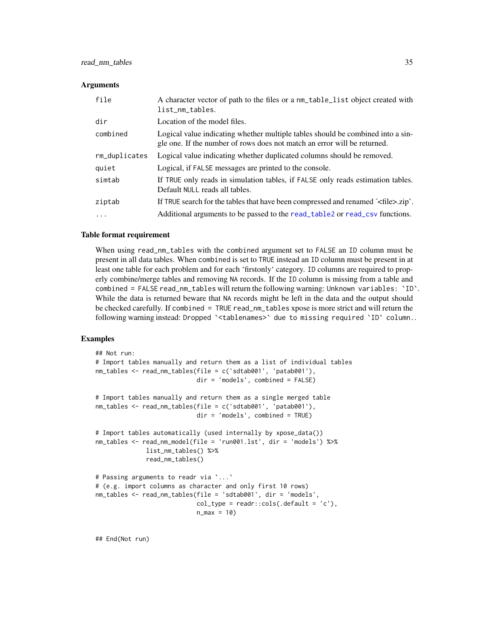#### <span id="page-34-0"></span>**Arguments**

| file          | A character vector of path to the files or a nm_table_list object created with<br>list_nm_tables.                                                           |
|---------------|-------------------------------------------------------------------------------------------------------------------------------------------------------------|
| dir           | Location of the model files.                                                                                                                                |
| combined      | Logical value indicating whether multiple tables should be combined into a sin-<br>gle one. If the number of rows does not match an error will be returned. |
| rm_duplicates | Logical value indicating whether duplicated columns should be removed.                                                                                      |
| quiet         | Logical, if FALSE messages are printed to the console.                                                                                                      |
| simtab        | If TRUE only reads in simulation tables, if FALSE only reads estimation tables.<br>Default NULL reads all tables.                                           |
| ziptab        | If TRUE search for the tables that have been compressed and renamed $\leq$ file $>$ .zip'.                                                                  |
| $\cdots$      | Additional arguments to be passed to the read_table2 or read_csv functions.                                                                                 |

#### Table format requirement

When using read\_nm\_tables with the combined argument set to FALSE an ID column must be present in all data tables. When combined is set to TRUE instead an ID column must be present in at least one table for each problem and for each 'firstonly' category. ID columns are required to properly combine/merge tables and removing NA records. If the ID column is missing from a table and combined = FALSE read\_nm\_tables will return the following warning: Unknown variables: `ID`. While the data is returned beware that NA records might be left in the data and the output should be checked carefully. If combined = TRUE read\_nm\_tables xpose is more strict and will return the following warning instead: Dropped `<tablenames>` due to missing required `ID` column..

#### Examples

```
## Not run:
# Import tables manually and return them as a list of individual tables
nm_tables <- read_nm_tables(file = c('sdtab001', 'patab001'),
                            dir = 'models', combined = FALSE)
# Import tables manually and return them as a single merged table
nm_tables <- read_nm_tables(file = c('sdtab001', 'patab001'),
                           dir = 'models', combined = TRUE)
# Import tables automatically (used internally by xpose_data())
nm_tables <- read_nm_model(file = 'run001.lst', dir = 'models') %>%
             list_nm_tables() %>%
             read_nm_tables()
# Passing arguments to readr via `...`
# (e.g. import columns as character and only first 10 rows)
nm_tables <- read_nm_tables(file = 'sdtab001', dir = 'models',
                           col_type = readr::cols(.default = 'c'),n_{max} = 10
```
## End(Not run)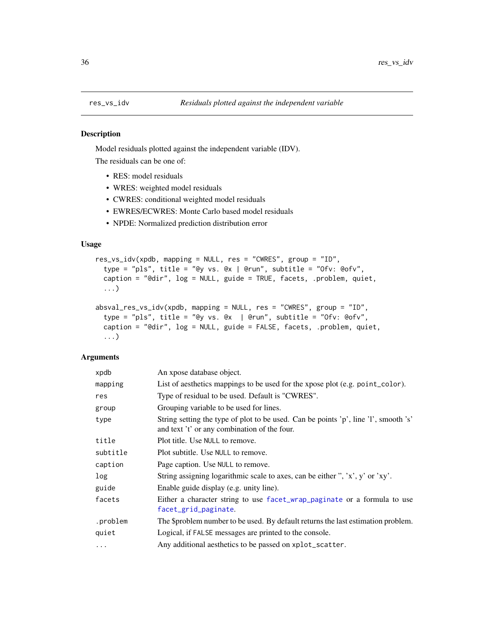<span id="page-35-0"></span>

#### Description

Model residuals plotted against the independent variable (IDV).

The residuals can be one of:

- RES: model residuals
- WRES: weighted model residuals
- CWRES: conditional weighted model residuals
- EWRES/ECWRES: Monte Carlo based model residuals
- NPDE: Normalized prediction distribution error

### Usage

```
res_vs_idv(xpdb, mapping = NULL, res = "CWRES", group = "ID",
  type = "pls", title = "@y vs. @x | @run", subtitle = "Ofv: @ofv",
  caption = "@dir", log = NULL, guide = TRUE, facets, .problem, quiet,
  ...)
absval_res_vs_idv(xpdb, mapping = NULL, res = "CWRES", group = "ID",
```

```
type = "pls", title = "@y vs. @x | @run", subtitle = "Ofv: @ofv",
caption = "@dir", log = NULL, guide = FALSE, facets, .problem, quiet,
...)
```
#### Arguments

| xpdb     | An xpose database object.                                                                                                           |
|----------|-------------------------------------------------------------------------------------------------------------------------------------|
| mapping  | List of aesthetics mappings to be used for the xpose plot (e.g. point_color).                                                       |
| res      | Type of residual to be used. Default is "CWRES".                                                                                    |
| group    | Grouping variable to be used for lines.                                                                                             |
| type     | String setting the type of plot to be used. Can be points 'p', line 'l', smooth 's'<br>and text 't' or any combination of the four. |
| title    | Plot title. Use NULL to remove.                                                                                                     |
| subtitle | Plot subtitle. Use NULL to remove.                                                                                                  |
| caption  | Page caption. Use NULL to remove.                                                                                                   |
| log      | String assigning logarithmic scale to axes, can be either ", 'x', y' or 'xy'.                                                       |
| guide    | Enable guide display (e.g. unity line).                                                                                             |
| facets   | Either a character string to use facet_wrap_paginate or a formula to use<br>facet_grid_paginate.                                    |
| .problem | The \$problem number to be used. By default returns the last estimation problem.                                                    |
| quiet    | Logical, if FALSE messages are printed to the console.                                                                              |
| $\cdots$ | Any additional aesthetics to be passed on xplot_scatter.                                                                            |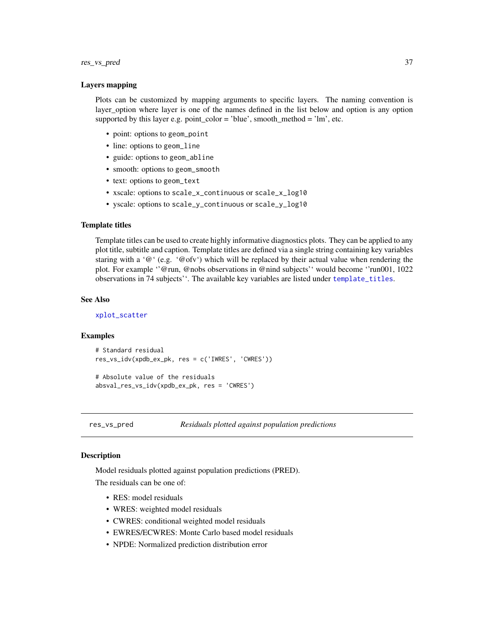#### <span id="page-36-0"></span>res\_vs\_pred 37

#### Layers mapping

Plots can be customized by mapping arguments to specific layers. The naming convention is layer\_option where layer is one of the names defined in the list below and option is any option supported by this layer e.g. point\_color = 'blue', smooth\_method = 'lm', etc.

- point: options to geom\_point
- line: options to geom\_line
- guide: options to geom\_abline
- smooth: options to geom\_smooth
- text: options to geom\_text
- xscale: options to scale\_x\_continuous or scale\_x\_log10
- yscale: options to scale\_y\_continuous or scale\_y\_log10

### Template titles

Template titles can be used to create highly informative diagnostics plots. They can be applied to any plot title, subtitle and caption. Template titles are defined via a single string containing key variables staring with a ' $@'$  (e.g. ' $@$ ofv') which will be replaced by their actual value when rendering the plot. For example ''@run, @nobs observations in @nind subjects'' would become ''run001, 1022 observations in 74 subjects''. The available key variables are listed under [template\\_titles](#page-43-1).

#### See Also

[xplot\\_scatter](#page-54-1)

#### Examples

```
# Standard residual
res_vs_idv(xpdb_ex_pk, res = c('IWRES', 'CWRES'))
```

```
# Absolute value of the residuals
absval_res_vs_idv(xpdb_ex_pk, res = 'CWRES')
```
res\_vs\_pred *Residuals plotted against population predictions*

#### **Description**

Model residuals plotted against population predictions (PRED).

The residuals can be one of:

- RES: model residuals
- WRES: weighted model residuals
- CWRES: conditional weighted model residuals
- EWRES/ECWRES: Monte Carlo based model residuals
- NPDE: Normalized prediction distribution error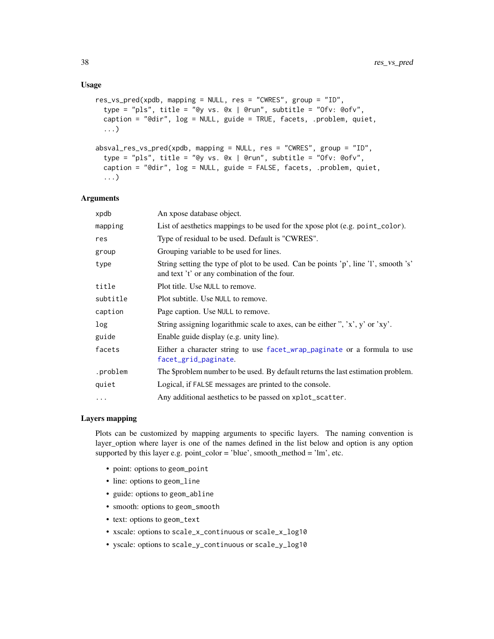### <span id="page-37-0"></span>Usage

```
res\_vs\_pred(xpdb, mapping = NULL, res = "CWRES", group = "ID",type = "pls", title = "@y vs. @x | @run", subtitle = "Ofv: @ofv",
 caption = "@dir", log = NULL, guide = TRUE, facets, .problem, quiet,
  ...)
absval_res_vs_pred(xpdb, mapping = NULL, res = "CWRES", group = "ID",type = "pls", title = "@y vs. @x | @run", subtitle = "Ofv: @ofv",
 caption = "@dir", log = NULL, guide = FALSE, facets, .problem, quiet,
  ...)
```
#### Arguments

| xpdb     | An xpose database object.                                                                                                           |
|----------|-------------------------------------------------------------------------------------------------------------------------------------|
| mapping  | List of aesthetics mappings to be used for the xpose plot (e.g. point_color).                                                       |
| res      | Type of residual to be used. Default is "CWRES".                                                                                    |
| group    | Grouping variable to be used for lines.                                                                                             |
| type     | String setting the type of plot to be used. Can be points 'p', line 'l', smooth 's'<br>and text 't' or any combination of the four. |
| title    | Plot title. Use NULL to remove.                                                                                                     |
| subtitle | Plot subtitle. Use NULL to remove.                                                                                                  |
| caption  | Page caption. Use NULL to remove.                                                                                                   |
| log      | String assigning logarithmic scale to axes, can be either ", 'x', y' or 'xy'.                                                       |
| guide    | Enable guide display (e.g. unity line).                                                                                             |
| facets   | Either a character string to use facet_wrap_paginate or a formula to use<br>facet_grid_paginate.                                    |
| .problem | The \$problem number to be used. By default returns the last estimation problem.                                                    |
| quiet    | Logical, if FALSE messages are printed to the console.                                                                              |
| $\cdots$ | Any additional aesthetics to be passed on xplot_scatter.                                                                            |

#### Layers mapping

Plots can be customized by mapping arguments to specific layers. The naming convention is layer\_option where layer is one of the names defined in the list below and option is any option supported by this layer e.g. point\_color = 'blue', smooth\_method = 'lm', etc.

- point: options to geom\_point
- line: options to geom\_line
- guide: options to geom\_abline
- smooth: options to geom\_smooth
- text: options to geom\_text
- xscale: options to scale\_x\_continuous or scale\_x\_log10
- yscale: options to scale\_y\_continuous or scale\_y\_log10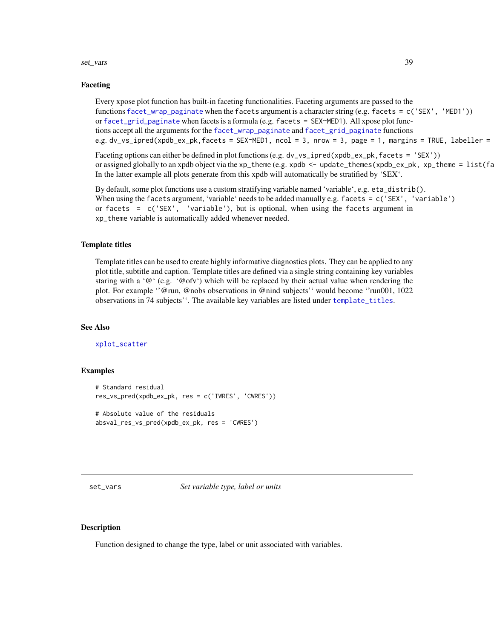#### <span id="page-38-0"></span>set\_vars 39

#### Faceting

Every xpose plot function has built-in faceting functionalities. Faceting arguments are passed to the functions [facet\\_wrap\\_paginate](#page-0-0) when the facets argument is a character string (e.g. facets = c('SEX', 'MED1')) or [facet\\_grid\\_paginate](#page-0-0) when facets is a formula (e.g. facets =  $SEX \sim MED1$ ). All xpose plot functions accept all the arguments for the [facet\\_wrap\\_paginate](#page-0-0) and [facet\\_grid\\_paginate](#page-0-0) functions e.g. dv\_vs\_ipred(xpdb\_ex\_pk,facets = SEX~MED1, ncol = 3, nrow = 3, page = 1, margins = TRUE, labeller =

Faceting options can either be defined in plot functions (e.g. dv\_vs\_ipred(xpdb\_ex\_pk,facets = 'SEX')) or assigned globally to an xpdb object via the xp\_theme (e.g. xpdb <- update\_themes(xpdb\_ex\_pk, xp\_theme =  $list(fa)$ In the latter example all plots generate from this xpdb will automatically be stratified by 'SEX'.

By default, some plot functions use a custom stratifying variable named 'variable', e.g. eta\_distrib(). When using the facets argument, 'variable' needs to be added manually e.g. facets = c('SEX', 'variable') or facets = c('SEX', 'variable'), but is optional, when using the facets argument in xp\_theme variable is automatically added whenever needed.

#### Template titles

Template titles can be used to create highly informative diagnostics plots. They can be applied to any plot title, subtitle and caption. Template titles are defined via a single string containing key variables staring with a '@' (e.g. '@ofv') which will be replaced by their actual value when rendering the plot. For example ''@run, @nobs observations in @nind subjects'' would become ''run001, 1022 observations in 74 subjects''. The available key variables are listed under [template\\_titles](#page-43-1).

### See Also

[xplot\\_scatter](#page-54-1)

#### Examples

```
# Standard residual
res_vs_pred(xpdb_ex_pk, res = c('IWRES', 'CWRES'))
# Absolute value of the residuals
```

```
absval_res_vs_pred(xpdb_ex_pk, res = 'CWRES')
```
set\_vars *Set variable type, label or units*

#### <span id="page-38-1"></span>Description

Function designed to change the type, label or unit associated with variables.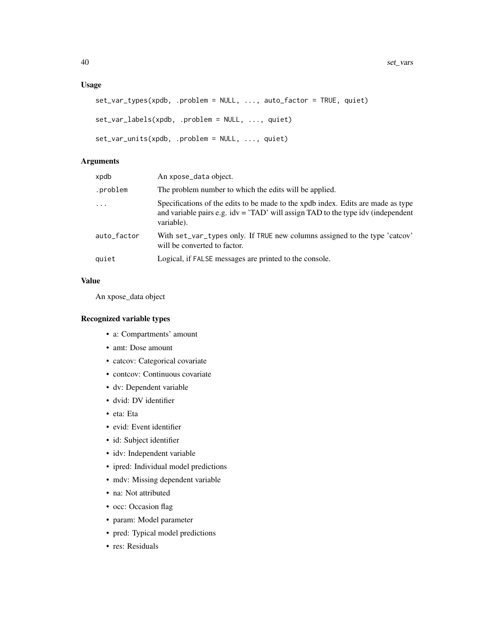### Usage

```
set_var_types(xpdb, .problem = NULL, ..., auto_factor = TRUE, quiet)
set_var_labels(xpdb, .problem = NULL, ..., quiet)
set_var_units(xpdb, .problem = NULL, ..., quiet)
```
### Arguments

| xpdb        | An xpose_data object.                                                                                                                                                                    |
|-------------|------------------------------------------------------------------------------------------------------------------------------------------------------------------------------------------|
| .problem    | The problem number to which the edits will be applied.                                                                                                                                   |
| $\ddots$    | Specifications of the edits to be made to the xpdb index. Edits are made as type<br>and variable pairs e.g. $idv = 'TAD'$ will assign $TAD$ to the type $idv$ (independent<br>variable). |
| auto_factor | With set_var_types only. If TRUE new columns assigned to the type 'catcov'<br>will be converted to factor.                                                                               |
| quiet       | Logical, if FALSE messages are printed to the console.                                                                                                                                   |
|             |                                                                                                                                                                                          |

### Value

An xpose\_data object

### Recognized variable types

- a: Compartments' amount
- amt: Dose amount
- catcov: Categorical covariate
- contcov: Continuous covariate
- dv: Dependent variable
- dvid: DV identifier
- eta: Eta
- evid: Event identifier
- id: Subject identifier
- idv: Independent variable
- ipred: Individual model predictions
- mdv: Missing dependent variable
- na: Not attributed
- occ: Occasion flag
- param: Model parameter
- pred: Typical model predictions
- res: Residuals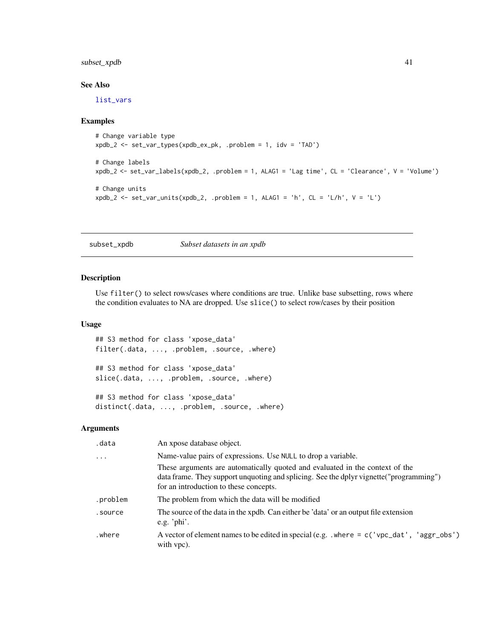### <span id="page-40-0"></span>subset\_xpdb 41

### See Also

[list\\_vars](#page-19-2)

#### Examples

```
# Change variable type
xpdb_2 <- set_var_types(xpdb_ex_pk, .problem = 1, idv = 'TAD')
# Change labels
xpdb_2 <- set_var_labels(xpdb_2, .problem = 1, ALAG1 = 'Lag time', CL = 'Clearance', V = 'Volume')
# Change units
xpdb_2 \leftarrow set\_var\_units(xpdb_2,.problem = 1, ALAG1 = 'h', CL = 'L/h', V = 'L')
```
subset\_xpdb *Subset datasets in an xpdb*

### Description

Use filter() to select rows/cases where conditions are true. Unlike base subsetting, rows where the condition evaluates to NA are dropped. Use slice() to select row/cases by their position

### Usage

## S3 method for class 'xpose\_data' filter(.data, ..., .problem, .source, .where)

## S3 method for class 'xpose\_data' slice(.data, ..., .problem, .source, .where)

## S3 method for class 'xpose\_data' distinct(.data, ..., .problem, .source, .where)

#### Arguments

| .data                   | An xpose database object.                                                                                                                                                                                         |
|-------------------------|-------------------------------------------------------------------------------------------------------------------------------------------------------------------------------------------------------------------|
| $\cdot$ $\cdot$ $\cdot$ | Name-value pairs of expressions. Use NULL to drop a variable.                                                                                                                                                     |
|                         | These arguments are automatically quoted and evaluated in the context of the<br>data frame. They support unquoting and splicing. See the dplyr vignette ("programming")<br>for an introduction to these concepts. |
| .problem                | The problem from which the data will be modified                                                                                                                                                                  |
| .source                 | The source of the data in the xpdb. Can either be 'data' or an output file extension<br>e.g. ' $phi'$ .                                                                                                           |
| .where                  | A vector of element names to be edited in special (e.g. $\cdot$ where = c('vpc_dat', 'aggr_obs')<br>with vpc).                                                                                                    |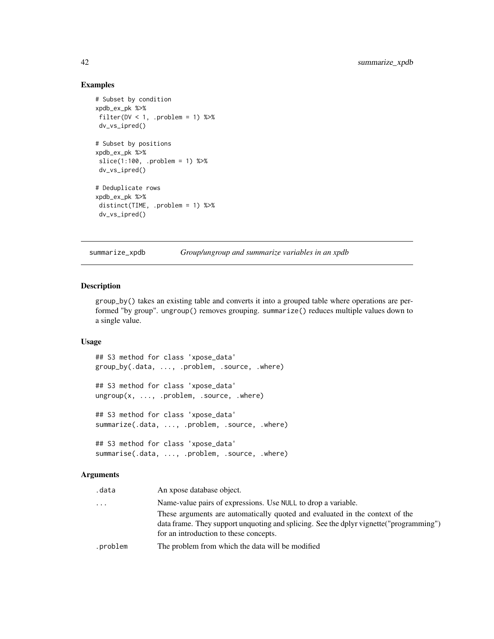### Examples

```
# Subset by condition
xpdb_ex_pk %>%
filter(DV < 1, .problem = 1) %>%
dv_vs_ipred()
# Subset by positions
xpdb_ex_pk %>%
 slice(1:100, .problem = 1) %>%
 dv_vs_ipred()
# Deduplicate rows
xpdb_ex_pk %>%
distinct(TIME, .problem = 1) %>%
 dv_vs_ipred()
```
summarize\_xpdb *Group/ungroup and summarize variables in an xpdb*

#### Description

group\_by() takes an existing table and converts it into a grouped table where operations are performed "by group". ungroup() removes grouping. summarize() reduces multiple values down to a single value.

### Usage

## S3 method for class 'xpose\_data' group\_by(.data, ..., .problem, .source, .where) ## S3 method for class 'xpose\_data' ungroup(x, ..., .problem, .source, .where) ## S3 method for class 'xpose\_data' summarize(.data, ..., .problem, .source, .where) ## S3 method for class 'xpose\_data' summarise(.data, ..., .problem, .source, .where)

#### Arguments

| .data    | An xpose database object.                                                                                                                                                                                         |
|----------|-------------------------------------------------------------------------------------------------------------------------------------------------------------------------------------------------------------------|
| .        | Name-value pairs of expressions. Use NULL to drop a variable.                                                                                                                                                     |
|          | These arguments are automatically quoted and evaluated in the context of the<br>data frame. They support unquoting and splicing. See the dplyr vignette ("programming")<br>for an introduction to these concepts. |
| .problem | The problem from which the data will be modified                                                                                                                                                                  |

<span id="page-41-0"></span>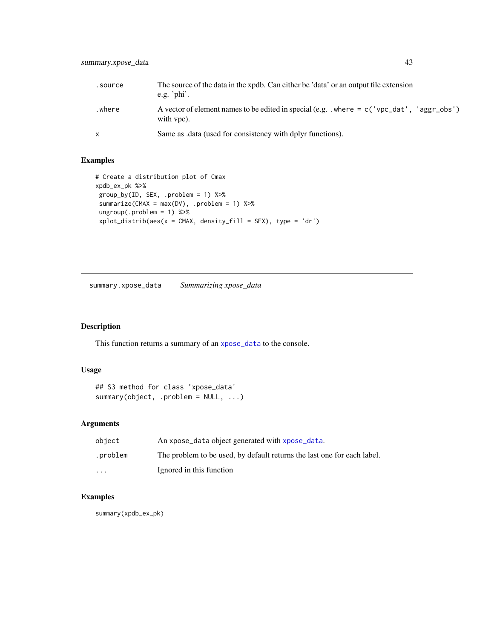<span id="page-42-0"></span>

| .source | The source of the data in the xpdb. Can either be 'data' or an output file extension<br>e.g. ' $\phi$ hi'.   |
|---------|--------------------------------------------------------------------------------------------------------------|
| .where  | A vector of element names to be edited in special (e.g. $\mu$ where = c('vpc_dat', 'aggr_obs')<br>with vpc). |
|         | Same as .data (used for consistency with dplyr functions).                                                   |

### Examples

```
# Create a distribution plot of Cmax
xpdb_ex_pk %>%
group_by(ID, SEX, .problem = 1) %>%
 summarize(CMAX = max(DV), .problem = 1) %>%
 ungroup(.problem = 1) %>%
 xplot\_distrib(aes(x = CMAX, density_fill = SEX), type = 'dr')
```
<span id="page-42-1"></span>summary.xpose\_data *Summarizing xpose\_data*

### Description

This function returns a summary of an [xpose\\_data](#page-56-1) to the console.

### Usage

```
## S3 method for class 'xpose_data'
summary(object, .problem = NULL, ...)
```
### Arguments

| object   | An xpose_data object generated with xpose_data.                         |
|----------|-------------------------------------------------------------------------|
| .problem | The problem to be used, by default returns the last one for each label. |
| $\cdots$ | Ignored in this function                                                |

### Examples

summary(xpdb\_ex\_pk)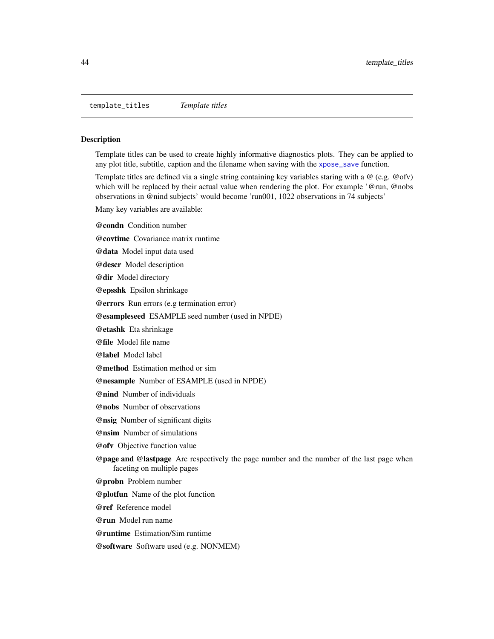<span id="page-43-1"></span><span id="page-43-0"></span>template\_titles *Template titles*

#### Description

Template titles can be used to create highly informative diagnostics plots. They can be applied to any plot title, subtitle, caption and the filename when saving with the [xpose\\_save](#page-57-1) function.

Template titles are defined via a single string containing key variables staring with a @ (e.g. @ofv) which will be replaced by their actual value when rendering the plot. For example '@run, @nobs observations in @nind subjects' would become 'run001, 1022 observations in 74 subjects'

Many key variables are available:

@condn Condition number

@covtime Covariance matrix runtime

@data Model input data used

@descr Model description

@dir Model directory

@epsshk Epsilon shrinkage

@errors Run errors (e.g termination error)

@esampleseed ESAMPLE seed number (used in NPDE)

@etashk Eta shrinkage

@file Model file name

@label Model label

@method Estimation method or sim

@nesample Number of ESAMPLE (used in NPDE)

@nind Number of individuals

@nobs Number of observations

@nsig Number of significant digits

@nsim Number of simulations

@ofv Objective function value

@page and @lastpage Are respectively the page number and the number of the last page when faceting on multiple pages

@probn Problem number

@plotfun Name of the plot function

@ref Reference model

@run Model run name

@runtime Estimation/Sim runtime

@software Software used (e.g. NONMEM)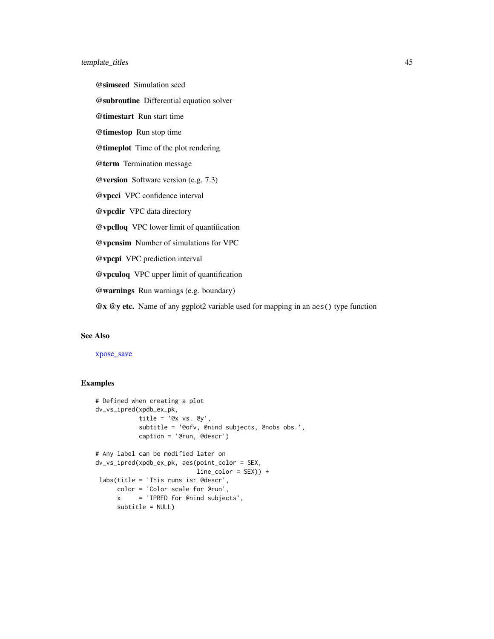<span id="page-44-0"></span>@simseed Simulation seed

@subroutine Differential equation solver

@timestart Run start time

@timestop Run stop time

@timeplot Time of the plot rendering

@term Termination message

@version Software version (e.g. 7.3)

@vpcci VPC confidence interval

@vpcdir VPC data directory

@vpclloq VPC lower limit of quantification

@vpcnsim Number of simulations for VPC

@vpcpi VPC prediction interval

@vpculoq VPC upper limit of quantification

@warnings Run warnings (e.g. boundary)

@x @y etc. Name of any ggplot2 variable used for mapping in an aes() type function

#### See Also

### [xpose\\_save](#page-57-1)

#### Examples

```
# Defined when creating a plot
dv_vs_ipred(xpdb_ex_pk,
           title = 'Qx vs. Qy',
           subtitle = '@ofv, @nind subjects, @nobs obs.',
           caption = '@run, @descr')
# Any label can be modified later on
dv_vs_ipred(xpdb_ex_pk, aes(point_color = SEX,
                           line_color = SEX)) +
labs(title = 'This runs is: @descr',
     color = 'Color scale for @run',
     x = 'IPRED for @nind subjects',
     subtitle = NULL)
```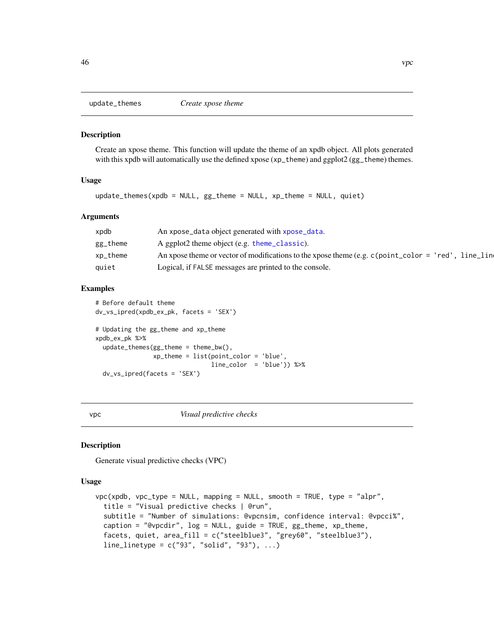<span id="page-45-0"></span>

#### Description

Create an xpose theme. This function will update the theme of an xpdb object. All plots generated with this xpdb will automatically use the defined xpose (xp\_theme) and ggplot2 (gg\_theme) themes.

#### Usage

```
update_themes(xpdb = NULL, gg_theme = NULL, xp_theme = NULL, quiet)
```
#### Arguments

| xpdb          | An xpose_data object generated with xpose_data.                                                                                    |
|---------------|------------------------------------------------------------------------------------------------------------------------------------|
| gg_theme      | A ggplot2 theme object (e.g. theme_classic).                                                                                       |
| $xp_{th}$ eme | An xpose theme or vector of modifications to the xpose theme (e.g. $c$ (point $\text{\_color{red}color = 'red',}$ )<br>. line lind |
| quiet         | Logical, if FALSE messages are printed to the console.                                                                             |

### Examples

```
# Before default theme
dv_vs_ipred(xpdb_ex_pk, facets = 'SEX')
# Updating the gg_theme and xp_theme
xpdb_ex_pk %>%
 update_themes(gg_theme = theme_bw(),
                xp_theme = list(point_color = 'blue',
                                line_color = 'blue')) %>%
 dv_vs_ipred(facets = 'SEX')
```
<span id="page-45-1"></span>vpc *Visual predictive checks*

#### Description

Generate visual predictive checks (VPC)

#### Usage

```
vpc(xpdb, vpc_type = NULL, mapping = NULL, smooth = TRUE, type = "alpr",
  title = "Visual predictive checks | @run",
  subtitle = "Number of simulations: @vpcnsim, confidence interval: @vpcci%",
  caption = "@vpcdir", log = NULL, guide = TRUE, gg_theme, xp_theme,
  facets, quiet, area_fill = c("steelblue3", "grey60", "steelblue3"),
  line_linetype = c("93", "solid", "93"), ...)
```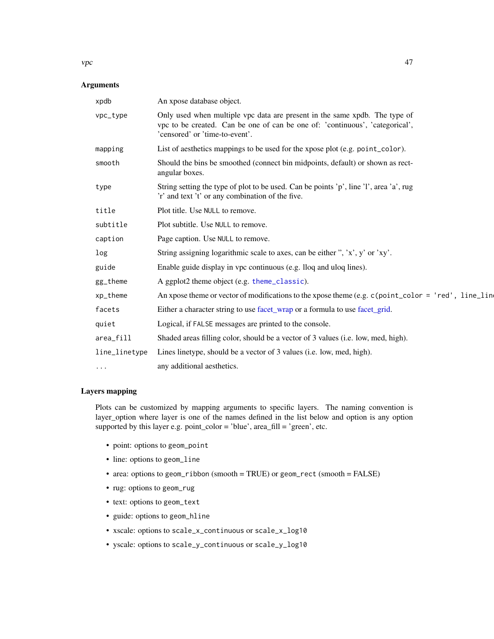#### <span id="page-46-0"></span> $\vee$  vpc  $\vee$  47

### Arguments

| xpdb          | An xpose database object.                                                                                                                                                                    |
|---------------|----------------------------------------------------------------------------------------------------------------------------------------------------------------------------------------------|
| vpc_type      | Only used when multiple vpc data are present in the same xpdb. The type of<br>vpc to be created. Can be one of can be one of: 'continuous', 'categorical',<br>'censored' or 'time-to-event'. |
| mapping       | List of aesthetics mappings to be used for the xpose plot (e.g. point_color).                                                                                                                |
| smooth        | Should the bins be smoothed (connect bin midpoints, default) or shown as rect-<br>angular boxes.                                                                                             |
| type          | String setting the type of plot to be used. Can be points 'p', line 'l', area 'a', rug<br>'r' and text 't' or any combination of the five.                                                   |
| title         | Plot title. Use NULL to remove.                                                                                                                                                              |
| subtitle      | Plot subtitle. Use NULL to remove.                                                                                                                                                           |
| caption       | Page caption. Use NULL to remove.                                                                                                                                                            |
| log           | String assigning logarithmic scale to axes, can be either ", 'x', y' or 'xy'.                                                                                                                |
| guide         | Enable guide display in vpc continuous (e.g. lloq and uloq lines).                                                                                                                           |
| gg_theme      | A ggplot2 theme object (e.g. theme_classic).                                                                                                                                                 |
| xp_theme      | An xpose theme or vector of modifications to the xpose theme (e.g. $c$ (point_color = 'red', line_line                                                                                       |
| facets        | Either a character string to use facet_wrap or a formula to use facet_grid.                                                                                                                  |
| quiet         | Logical, if FALSE messages are printed to the console.                                                                                                                                       |
| area_fill     | Shaded areas filling color, should be a vector of 3 values (i.e. low, med, high).                                                                                                            |
| line_linetype | Lines linetype, should be a vector of 3 values (i.e. low, med, high).                                                                                                                        |
| $\cdots$      | any additional aesthetics.                                                                                                                                                                   |

### Layers mapping

Plots can be customized by mapping arguments to specific layers. The naming convention is layer\_option where layer is one of the names defined in the list below and option is any option supported by this layer e.g. point\_color = 'blue', area\_fill = 'green', etc.

- point: options to geom\_point
- line: options to geom\_line
- area: options to geom\_ribbon (smooth = TRUE) or geom\_rect (smooth = FALSE)
- rug: options to geom\_rug
- text: options to geom\_text
- guide: options to geom\_hline
- xscale: options to scale\_x\_continuous or scale\_x\_log10
- yscale: options to scale\_y\_continuous or scale\_y\_log10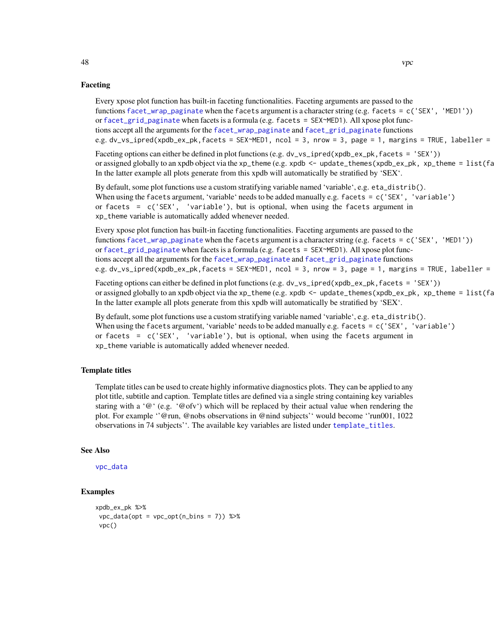#### Faceting

Every xpose plot function has built-in faceting functionalities. Faceting arguments are passed to the functions [facet\\_wrap\\_paginate](#page-0-0) when the facets argument is a character string (e.g. facets = c('SEX', 'MED1')) or [facet\\_grid\\_paginate](#page-0-0) when facets is a formula (e.g. facets = SEX~MED1). All xpose plot functions accept all the arguments for the [facet\\_wrap\\_paginate](#page-0-0) and [facet\\_grid\\_paginate](#page-0-0) functions e.g. dv\_vs\_ipred(xpdb\_ex\_pk,facets = SEX~MED1, ncol = 3, nrow = 3, page = 1, margins = TRUE, labeller =

Faceting options can either be defined in plot functions (e.g. dv\_vs\_ipred(xpdb\_ex\_pk, facets = 'SEX')) or assigned globally to an xpdb object via the xp\_theme (e.g. xpdb  $\leq$  - update\_themes(xpdb\_ex\_pk, xp\_theme =  $list(fa)$ In the latter example all plots generate from this xpdb will automatically be stratified by 'SEX'.

By default, some plot functions use a custom stratifying variable named 'variable', e.g. eta\_distrib(). When using the facets argument, 'variable' needs to be added manually e.g. facets = c('SEX', 'variable') or facets =  $c('SEX', 'variable'), but is optional, when using the facets argument in$ xp\_theme variable is automatically added whenever needed.

Every xpose plot function has built-in faceting functionalities. Faceting arguments are passed to the functions [facet\\_wrap\\_paginate](#page-0-0) when the facets argument is a character string (e.g. facets = c('SEX', 'MED1')) or [facet\\_grid\\_paginate](#page-0-0) when facets is a formula (e.g. facets = SEX~MED1). All xpose plot functions accept all the arguments for the [facet\\_wrap\\_paginate](#page-0-0) and [facet\\_grid\\_paginate](#page-0-0) functions e.g. dv\_vs\_ipred(xpdb\_ex\_pk,facets = SEX~MED1, ncol = 3, nrow = 3, page = 1, margins = TRUE, labeller =

Faceting options can either be defined in plot functions (e.g. dv\_vs\_ipred(xpdb\_ex\_pk, facets = 'SEX')) or assigned globally to an xpdb object via the xp\_theme (e.g. xpdb  $\leq$  - update\_themes(xpdb\_ex\_pk, xp\_theme =  $list(fa)$ In the latter example all plots generate from this xpdb will automatically be stratified by 'SEX'.

By default, some plot functions use a custom stratifying variable named 'variable', e.g. eta\_distrib(). When using the facets argument, 'variable' needs to be added manually e.g. facets = c('SEX', 'variable') or facets =  $c('SEX', 'variable'), but is optional, when using the facets argument in$ xp\_theme variable is automatically added whenever needed.

#### Template titles

Template titles can be used to create highly informative diagnostics plots. They can be applied to any plot title, subtitle and caption. Template titles are defined via a single string containing key variables staring with a ' $@'$  (e.g. ' $@$  ofv') which will be replaced by their actual value when rendering the plot. For example ''@run, @nobs observations in @nind subjects'' would become ''run001, 1022 observations in 74 subjects''. The available key variables are listed under [template\\_titles](#page-43-1).

#### See Also

```
vpc_data
```
#### Examples

```
xpdb_ex_pk %>%
vpc\_data(opt = vpc\_opt(n\_bins = 7)) %>%
 vpc()
```
<span id="page-47-0"></span>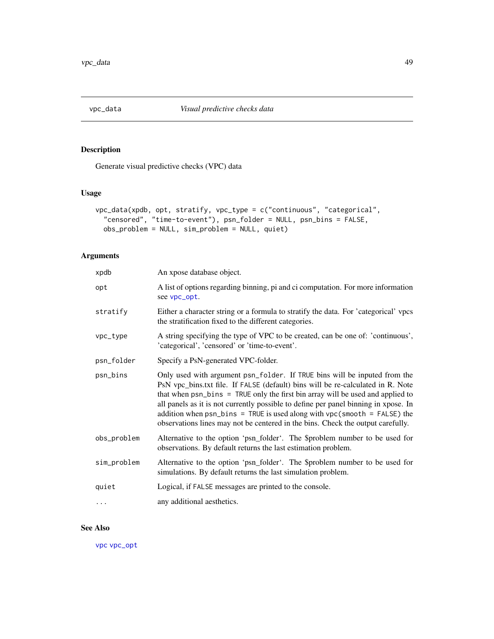<span id="page-48-1"></span><span id="page-48-0"></span>

### Description

Generate visual predictive checks (VPC) data

### Usage

```
vpc_data(xpdb, opt, stratify, vpc_type = c("continuous", "categorical",
  "censored", "time-to-event"), psn_folder = NULL, psn_bins = FALSE,
 obs_problem = NULL, sim_problem = NULL, quiet)
```
### Arguments

| xpdb        | An xpose database object.                                                                                                                                                                                                                                                                                                                                                                                                                                                                                |
|-------------|----------------------------------------------------------------------------------------------------------------------------------------------------------------------------------------------------------------------------------------------------------------------------------------------------------------------------------------------------------------------------------------------------------------------------------------------------------------------------------------------------------|
| opt         | A list of options regarding binning, pi and ci computation. For more information<br>see vpc_opt.                                                                                                                                                                                                                                                                                                                                                                                                         |
| stratify    | Either a character string or a formula to stratify the data. For 'categorical' vpcs<br>the stratification fixed to the different categories.                                                                                                                                                                                                                                                                                                                                                             |
| vpc_type    | A string specifying the type of VPC to be created, can be one of: 'continuous',<br>'categorical', 'censored' or 'time-to-event'.                                                                                                                                                                                                                                                                                                                                                                         |
| psn_folder  | Specify a PsN-generated VPC-folder.                                                                                                                                                                                                                                                                                                                                                                                                                                                                      |
| psn_bins    | Only used with argument psn_folder. If TRUE bins will be inputed from the<br>PsN vpc_bins.txt file. If FALSE (default) bins will be re-calculated in R. Note<br>that when psn_bins = TRUE only the first bin array will be used and applied to<br>all panels as it is not currently possible to define per panel binning in xpose. In<br>addition when $psn_bins = TRUE$ is used along with $vpc(smooth = FALSE)$ the<br>observations lines may not be centered in the bins. Check the output carefully. |
| obs_problem | Alternative to the option 'psn_folder'. The \$problem number to be used for<br>observations. By default returns the last estimation problem.                                                                                                                                                                                                                                                                                                                                                             |
| sim_problem | Alternative to the option 'psn_folder'. The \$problem number to be used for<br>simulations. By default returns the last simulation problem.                                                                                                                                                                                                                                                                                                                                                              |
| quiet       | Logical, if FALSE messages are printed to the console.                                                                                                                                                                                                                                                                                                                                                                                                                                                   |
| .           | any additional aesthetics.                                                                                                                                                                                                                                                                                                                                                                                                                                                                               |

### See Also

[vpc](#page-45-1) [vpc\\_opt](#page-49-1)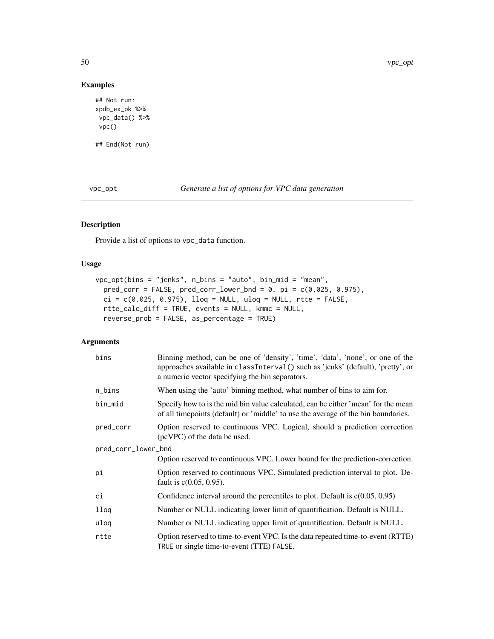### Examples

```
## Not run:
xpdb_ex_pk %>%
vpc_data() %>%
vpc()
## End(Not run)
```
<span id="page-49-1"></span>vpc\_opt *Generate a list of options for VPC data generation*

### Description

Provide a list of options to vpc\_data function.

### Usage

```
vpc_opt(bins = "jenks", n_bins = "auto", bin_mid = "mean",
 pred\_corr = FALSE, pred\_corr\_lower\_bnd = 0, pi = c(0.025, 0.975),ci = c(0.025, 0.975), 1log = NULL, uloq = NULL, rtte = FALSE,rtte_calc_diff = TRUE, events = NULL, kmmc = NULL,
  reverse_prob = FALSE, as_percentage = TRUE)
```
### Arguments

| bins                | Binning method, can be one of 'density', 'time', 'data', 'none', or one of the<br>approaches available in classInterval() such as 'jenks' (default), 'pretty', or<br>a numeric vector specifying the bin separators. |
|---------------------|----------------------------------------------------------------------------------------------------------------------------------------------------------------------------------------------------------------------|
| n_bins              | When using the 'auto' binning method, what number of bins to aim for.                                                                                                                                                |
| bin_mid             | Specify how to is the mid bin value calculated, can be either 'mean' for the mean<br>of all time points (default) or 'middle' to use the average of the bin boundaries.                                              |
| pred_corr           | Option reserved to continuous VPC. Logical, should a prediction correction<br>(pcVPC) of the data be used.                                                                                                           |
| pred_corr_lower_bnd |                                                                                                                                                                                                                      |
|                     | Option reserved to continuous VPC. Lower bound for the prediction-correction.                                                                                                                                        |
| рi                  | Option reserved to continuous VPC. Simulated prediction interval to plot. De-<br>fault is $c(0.05, 0.95)$ .                                                                                                          |
| сi                  | Confidence interval around the percentiles to plot. Default is $c(0.05, 0.95)$                                                                                                                                       |
| lloq                | Number or NULL indicating lower limit of quantification. Default is NULL.                                                                                                                                            |
| uloq                | Number or NULL indicating upper limit of quantification. Default is NULL.                                                                                                                                            |
| rtte                | Option reserved to time-to-event VPC. Is the data repeated time-to-event (RTTE)<br>TRUE or single time-to-event (TTE) FALSE.                                                                                         |

<span id="page-49-0"></span>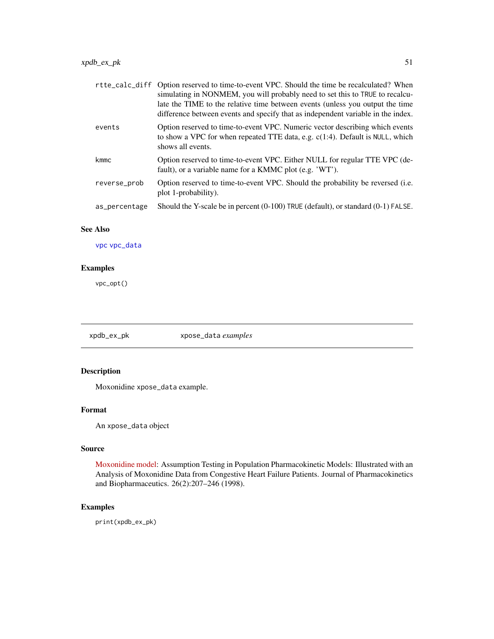<span id="page-50-0"></span>

|               | rtte_calc_diff Option reserved to time-to-event VPC. Should the time be recalculated? When<br>simulating in NONMEM, you will probably need to set this to TRUE to recalcu-<br>late the TIME to the relative time between events (unless you output the time<br>difference between events and specify that as independent variable in the index. |
|---------------|-------------------------------------------------------------------------------------------------------------------------------------------------------------------------------------------------------------------------------------------------------------------------------------------------------------------------------------------------|
| events        | Option reserved to time-to-event VPC. Numeric vector describing which events<br>to show a VPC for when repeated TTE data, e.g. $c(1:4)$ . Default is NULL, which<br>shows all events.                                                                                                                                                           |
| kmmc          | Option reserved to time-to-event VPC. Either NULL for regular TTE VPC (de-<br>fault), or a variable name for a KMMC plot (e.g. 'WT').                                                                                                                                                                                                           |
| reverse_prob  | Option reserved to time-to-event VPC. Should the probability be reversed (i.e.<br>plot 1-probability).                                                                                                                                                                                                                                          |
| as_percentage | Should the Y-scale be in percent (0-100) TRUE (default), or standard (0-1) FALSE.                                                                                                                                                                                                                                                               |

### See Also

[vpc](#page-45-1) [vpc\\_data](#page-48-1)

### Examples

vpc\_opt()

xpdb\_ex\_pk xpose\_data *examples*

### Description

Moxonidine xpose\_data example.

### Format

An xpose\_data object

### Source

[Moxonidine model:](http://link.springer.com/article/10.1023/A:1020561807903) Assumption Testing in Population Pharmacokinetic Models: Illustrated with an Analysis of Moxonidine Data from Congestive Heart Failure Patients. Journal of Pharmacokinetics and Biopharmaceutics. 26(2):207–246 (1998).

### Examples

print(xpdb\_ex\_pk)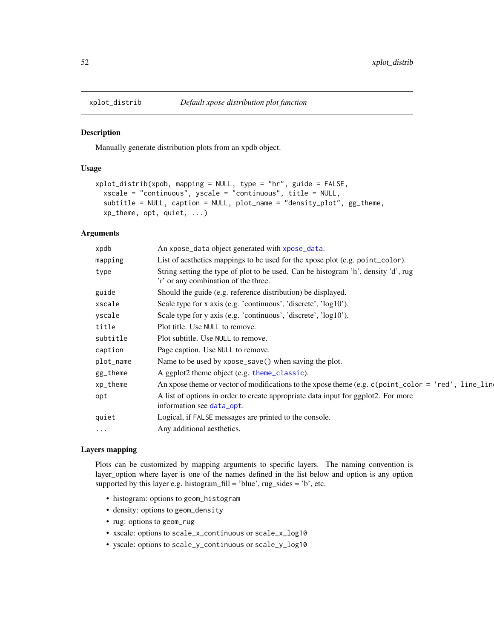<span id="page-51-1"></span><span id="page-51-0"></span>

### Description

Manually generate distribution plots from an xpdb object.

### Usage

```
xplot_distrib(xpdb, mapping = NULL, type = "hr", guide = FALSE,
 xscale = "continuous", yscale = "continuous", title = NULL,
  subtitle = NULL, caption = NULL, plot_name = "density_plot", gg_theme,
  xp_theme, opt, quiet, ...)
```
### Arguments

| xpdb      | An xpose_data object generated with xpose_data.                                                                            |
|-----------|----------------------------------------------------------------------------------------------------------------------------|
| mapping   | List of aesthetics mappings to be used for the xpose plot (e.g. point_color).                                              |
| type      | String setting the type of plot to be used. Can be histogram 'h', density 'd', rug<br>'r' or any combination of the three. |
| guide     | Should the guide (e.g. reference distribution) be displayed.                                                               |
| xscale    | Scale type for x axis (e.g. 'continuous', 'discrete', 'log10').                                                            |
| yscale    | Scale type for y axis (e.g. 'continuous', 'discrete', 'log10').                                                            |
| title     | Plot title. Use NULL to remove.                                                                                            |
| subtitle  | Plot subtitle. Use NULL to remove.                                                                                         |
| caption   | Page caption. Use NULL to remove.                                                                                          |
| plot_name | Name to be used by xpose_save() when saving the plot.                                                                      |
| gg_theme  | A ggplot2 theme object (e.g. theme_classic).                                                                               |
| xp_theme  | An xpose theme or vector of modifications to the xpose theme (e.g. c(point_color = 'red', line_line                        |
| opt       | A list of options in order to create appropriate data input for ggplot2. For more<br>information see data_opt.             |
| quiet     | Logical, if FALSE messages are printed to the console.                                                                     |
| $\cdots$  | Any additional aesthetics.                                                                                                 |
|           |                                                                                                                            |

#### Layers mapping

Plots can be customized by mapping arguments to specific layers. The naming convention is layer\_option where layer is one of the names defined in the list below and option is any option supported by this layer e.g. histogram\_fill = 'blue',  $rug\_sides = 'b'$ , etc.

- histogram: options to geom\_histogram
- density: options to geom\_density
- rug: options to geom\_rug
- xscale: options to scale\_x\_continuous or scale\_x\_log10
- yscale: options to scale\_y\_continuous or scale\_y\_log10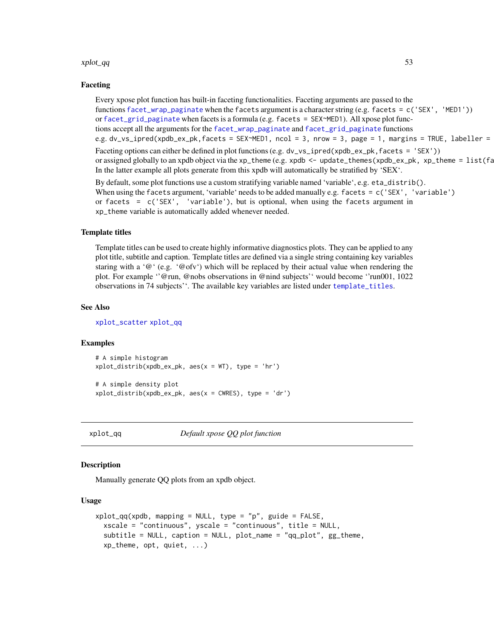#### <span id="page-52-0"></span>xplot\_qq 53

#### Faceting

Every xpose plot function has built-in faceting functionalities. Faceting arguments are passed to the functions [facet\\_wrap\\_paginate](#page-0-0) when the facets argument is a character string (e.g. facets = c('SEX', 'MED1')) or [facet\\_grid\\_paginate](#page-0-0) when facets is a formula (e.g. facets = SEX~MED1). All xpose plot functions accept all the arguments for the [facet\\_wrap\\_paginate](#page-0-0) and [facet\\_grid\\_paginate](#page-0-0) functions e.g. dv\_vs\_ipred(xpdb\_ex\_pk,facets = SEX~MED1, ncol = 3, nrow = 3, page = 1, margins = TRUE, labeller =

Faceting options can either be defined in plot functions (e.g. dv\_vs\_ipred(xpdb\_ex\_pk, facets = 'SEX')) or assigned globally to an xpdb object via the xp\_theme (e.g. xpdb <- update\_themes(xpdb\_ex\_pk, xp\_theme =  $list(fa)$ In the latter example all plots generate from this xpdb will automatically be stratified by 'SEX'.

By default, some plot functions use a custom stratifying variable named 'variable', e.g. eta\_distrib(). When using the facets argument, 'variable' needs to be added manually e.g. facets = c('SEX', 'variable') or facets =  $c('SEX', 'variable'), but is optional, when using the facets argument in$ xp\_theme variable is automatically added whenever needed.

#### Template titles

Template titles can be used to create highly informative diagnostics plots. They can be applied to any plot title, subtitle and caption. Template titles are defined via a single string containing key variables staring with a ' $@'$  (e.g. ' $@$  ofv') which will be replaced by their actual value when rendering the plot. For example ''@run, @nobs observations in @nind subjects'' would become ''run001, 1022 observations in 74 subjects''. The available key variables are listed under [template\\_titles](#page-43-1).

#### See Also

[xplot\\_scatter](#page-54-1) [xplot\\_qq](#page-52-1)

#### Examples

```
# A simple histogram
xplot\_distrib(xpdb_ex_pk, aes(x = WT), type = 'hr')
```
# A simple density plot  $xplot\_distrib(xpdb_ex_pk, aes(x = CWRES), type = 'dr')$ 

<span id="page-52-1"></span>

xplot\_qq *Default xpose QQ plot function*

#### Description

Manually generate QQ plots from an xpdb object.

#### Usage

```
xplot_qq(xpdb, mapping = NULL, type = "p", guide = FALSE,xscale = "continuous", yscale = "continuous", title = NULL,
  subtitle = NULL, caption = NULL, plot_name = "qq_plot", gg_theme,
  xp_theme, opt, quiet, ...)
```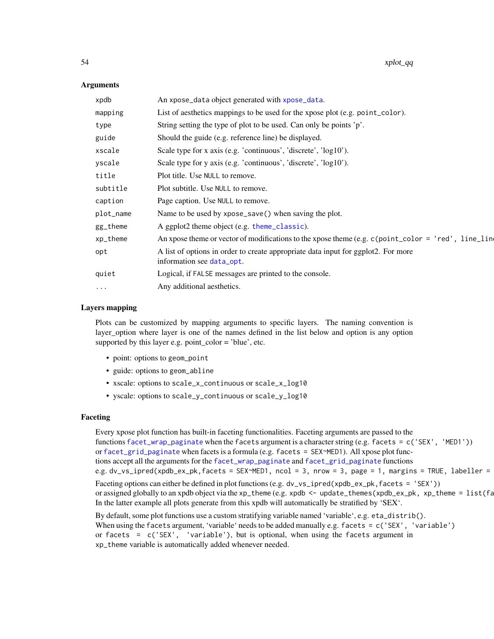#### Arguments

| xpdb      | An xpose_data object generated with xpose_data.                                                                |
|-----------|----------------------------------------------------------------------------------------------------------------|
| mapping   | List of aesthetics mappings to be used for the xpose plot (e.g. point_color).                                  |
| type      | String setting the type of plot to be used. Can only be points 'p'.                                            |
| guide     | Should the guide (e.g. reference line) be displayed.                                                           |
| xscale    | Scale type for x axis (e.g. 'continuous', 'discrete', $log10$ ').                                              |
| yscale    | Scale type for y axis (e.g. 'continuous', 'discrete', 'log10').                                                |
| title     | Plot title. Use NULL to remove.                                                                                |
| subtitle  | Plot subtitle. Use NULL to remove.                                                                             |
| caption   | Page caption. Use NULL to remove.                                                                              |
| plot_name | Name to be used by xpose_save() when saving the plot.                                                          |
| gg_theme  | A ggplot2 theme object (e.g. theme_classic).                                                                   |
| xp_theme  | An xpose theme or vector of modifications to the xpose theme (e.g. c(point_color = 'red', line_lin             |
| opt       | A list of options in order to create appropriate data input for ggplot2. For more<br>information see data_opt. |
| quiet     | Logical, if FALSE messages are printed to the console.                                                         |
| $\cdots$  | Any additional aesthetics.                                                                                     |
|           |                                                                                                                |

#### Layers mapping

Plots can be customized by mapping arguments to specific layers. The naming convention is layer\_option where layer is one of the names defined in the list below and option is any option supported by this layer e.g. point\_color = 'blue', etc.

- point: options to geom\_point
- guide: options to geom\_abline
- xscale: options to scale\_x\_continuous or scale\_x\_log10
- yscale: options to scale\_y\_continuous or scale\_y\_log10

### Faceting

Every xpose plot function has built-in faceting functionalities. Faceting arguments are passed to the functions [facet\\_wrap\\_paginate](#page-0-0) when the facets argument is a character string (e.g. facets = c('SEX', 'MED1')) or [facet\\_grid\\_paginate](#page-0-0) when facets is a formula (e.g. facets = SEX~MED1). All xpose plot functions accept all the arguments for the [facet\\_wrap\\_paginate](#page-0-0) and [facet\\_grid\\_paginate](#page-0-0) functions e.g. dv\_vs\_ipred(xpdb\_ex\_pk,facets = SEX~MED1, ncol = 3, nrow = 3, page = 1, margins = TRUE, labeller =

Faceting options can either be defined in plot functions (e.g. dv\_vs\_ipred(xpdb\_ex\_pk, facets = 'SEX')) or assigned globally to an xpdb object via the xp\_theme (e.g. xpdb  $\leq$  - update\_themes(xpdb\_ex\_pk, xp\_theme =  $list(fa)$ In the latter example all plots generate from this xpdb will automatically be stratified by 'SEX'.

By default, some plot functions use a custom stratifying variable named 'variable', e.g. eta\_distrib(). When using the facets argument, 'variable' needs to be added manually e.g. facets = c('SEX', 'variable') or facets = c('SEX', 'variable'), but is optional, when using the facets argument in xp\_theme variable is automatically added whenever needed.

<span id="page-53-0"></span>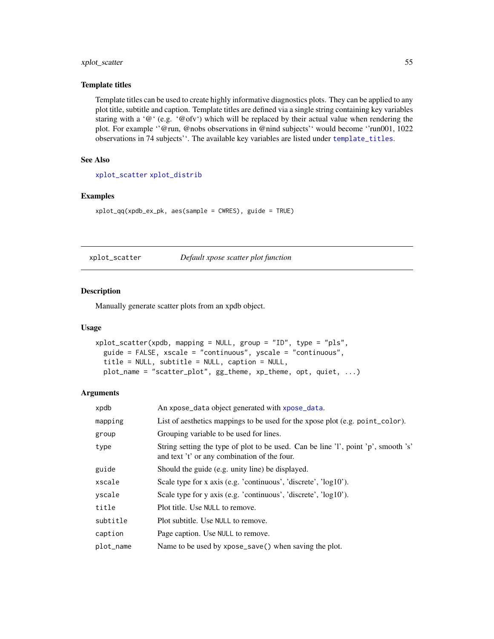### <span id="page-54-0"></span>xplot\_scatter 55

#### Template titles

Template titles can be used to create highly informative diagnostics plots. They can be applied to any plot title, subtitle and caption. Template titles are defined via a single string containing key variables staring with a '@' (e.g. '@ofv') which will be replaced by their actual value when rendering the plot. For example ''@run, @nobs observations in @nind subjects'' would become ''run001, 1022 observations in 74 subjects''. The available key variables are listed under [template\\_titles](#page-43-1).

### See Also

[xplot\\_scatter](#page-54-1) [xplot\\_distrib](#page-51-1)

### Examples

```
xplot_qq(xpdb_ex_pk, aes(sample = CWRES), guide = TRUE)
```
<span id="page-54-1"></span>xplot\_scatter *Default xpose scatter plot function*

#### Description

Manually generate scatter plots from an xpdb object.

#### Usage

```
xplot_scatter(xpdb, mapping = NULL, group = "ID", type = "pls",
  guide = FALSE, xscale = "continuous", yscale = "continuous",
  title = NULL, subtitle = NULL, caption = NULL,
  plot_name = "scatter_plot", gg_theme, xp_theme, opt, quiet, ...)
```
#### Arguments

| xpdb      | An xpose_data object generated with xpose_data.                                                                                    |
|-----------|------------------------------------------------------------------------------------------------------------------------------------|
| mapping   | List of aesthetics mappings to be used for the xpose plot (e.g. point_color).                                                      |
| group     | Grouping variable to be used for lines.                                                                                            |
| type      | String setting the type of plot to be used. Can be line 'l', point 'p', smooth 's'<br>and text 't' or any combination of the four. |
| guide     | Should the guide (e.g. unity line) be displayed.                                                                                   |
| xscale    | Scale type for x axis (e.g. 'continuous', 'discrete', 'log10').                                                                    |
| yscale    | Scale type for y axis (e.g. 'continuous', 'discrete', 'log10').                                                                    |
| title     | Plot title. Use NULL to remove.                                                                                                    |
| subtitle  | Plot subtitle. Use NULL to remove.                                                                                                 |
| caption   | Page caption. Use NULL to remove.                                                                                                  |
| plot_name | Name to be used by xpose_save() when saving the plot.                                                                              |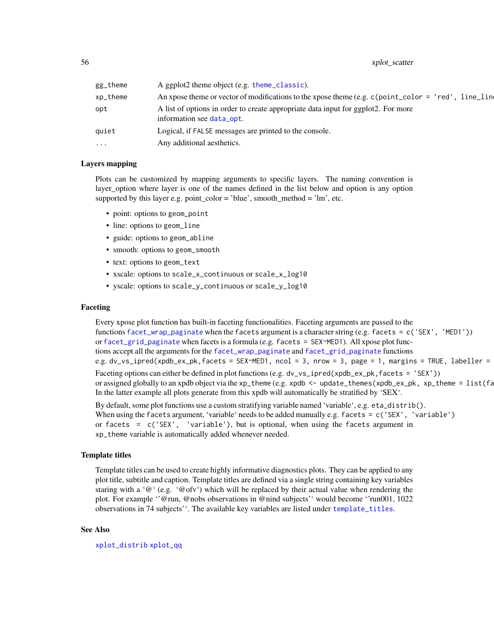<span id="page-55-0"></span>56 xplot\_scatter  $\frac{1}{2}$  xplot\_scatter

| gg_theme | A ggplot2 theme object (e.g. theme_classic).                                                                   |
|----------|----------------------------------------------------------------------------------------------------------------|
| xp_theme | An xpose theme or vector of modifications to the xpose theme (e.g. $c$ (point_color = 'red', line_line         |
| opt      | A list of options in order to create appropriate data input for ggplot2. For more<br>information see data_opt. |
| quiet    | Logical, if FALSE messages are printed to the console.                                                         |
| .        | Any additional aesthetics.                                                                                     |
|          |                                                                                                                |

### Layers mapping

Plots can be customized by mapping arguments to specific layers. The naming convention is layer\_option where layer is one of the names defined in the list below and option is any option supported by this layer e.g. point\_color = 'blue', smooth\_method = 'lm', etc.

- point: options to geom\_point
- line: options to geom\_line
- guide: options to geom\_abline
- smooth: options to geom\_smooth
- text: options to geom\_text
- xscale: options to scale\_x\_continuous or scale\_x\_log10
- yscale: options to scale\_y\_continuous or scale\_y\_log10

#### Faceting

Every xpose plot function has built-in faceting functionalities. Faceting arguments are passed to the functions [facet\\_wrap\\_paginate](#page-0-0) when the facets argument is a character string (e.g. facets = c('SEX', 'MED1')) or [facet\\_grid\\_paginate](#page-0-0) when facets is a formula (e.g. facets = SEX~MED1). All xpose plot functions accept all the arguments for the [facet\\_wrap\\_paginate](#page-0-0) and [facet\\_grid\\_paginate](#page-0-0) functions e.g. dv\_vs\_ipred(xpdb\_ex\_pk,facets = SEX~MED1, ncol = 3, nrow = 3, page = 1, margins = TRUE, labeller = Faceting options can either be defined in plot functions (e.g. dv\_vs\_ipred(xpdb\_ex\_pk, facets = 'SEX')) or assigned globally to an xpdb object via the xp\_theme (e.g. xpdb  $\leq$  - update\_themes(xpdb\_ex\_pk, xp\_theme =  $list(fa)$ In the latter example all plots generate from this xpdb will automatically be stratified by 'SEX'.

By default, some plot functions use a custom stratifying variable named 'variable', e.g. eta\_distrib(). When using the facets argument, 'variable' needs to be added manually e.g. facets = c('SEX', 'variable') or facets =  $c('SEX', 'variable'), but is optional, when using the facets argument in$ xp\_theme variable is automatically added whenever needed.

#### Template titles

Template titles can be used to create highly informative diagnostics plots. They can be applied to any plot title, subtitle and caption. Template titles are defined via a single string containing key variables staring with a ' $@'$  (e.g. ' $@$ ofv') which will be replaced by their actual value when rendering the plot. For example ''@run, @nobs observations in @nind subjects'' would become ''run001, 1022 observations in 74 subjects''. The available key variables are listed under [template\\_titles](#page-43-1).

#### See Also

[xplot\\_distrib](#page-51-1) [xplot\\_qq](#page-52-1)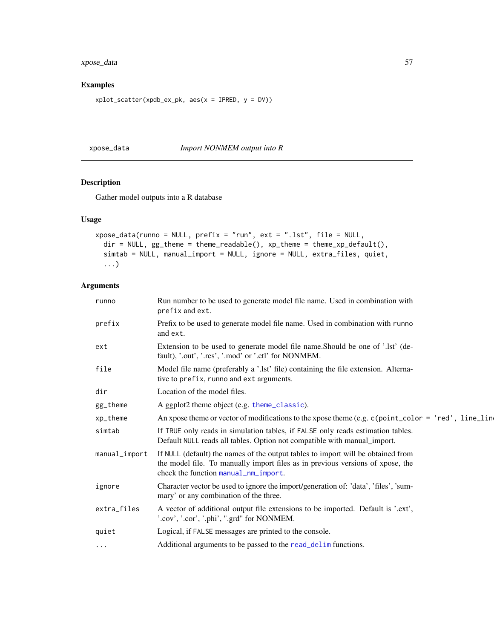### <span id="page-56-0"></span>xpose\_data 57

### Examples

 $xplot\_scatter(xpdb\_ex\_pk, aes(x = IPRED, y = DV))$ 

<span id="page-56-1"></span>xpose\_data *Import NONMEM output into R*

## Description

Gather model outputs into a R database

### Usage

```
xpose_data(runno = NULL, prefix = "run", ext = ".lst", file = NULL,
 dir = NULL, gg_t theme = theme_readable(), xp_t theme = theme_xp_default(),
  simtab = NULL, manual_import = NULL, ignore = NULL, extra_files, quiet,
  ...)
```
### Arguments

| runno         | Run number to be used to generate model file name. Used in combination with<br>prefix and ext.                                                                                                             |
|---------------|------------------------------------------------------------------------------------------------------------------------------------------------------------------------------------------------------------|
| prefix        | Prefix to be used to generate model file name. Used in combination with runno<br>and ext.                                                                                                                  |
| ext           | Extension to be used to generate model file name. Should be one of '.lst' (de-<br>fault), '.out', '.res', '.mod' or '.ctl' for NONMEM.                                                                     |
| file          | Model file name (preferably a '.lst' file) containing the file extension. Alterna-<br>tive to prefix, runno and ext arguments.                                                                             |
| dir           | Location of the model files.                                                                                                                                                                               |
| gg_theme      | A ggplot2 theme object (e.g. theme_classic).                                                                                                                                                               |
| xp_theme      | An xpose theme or vector of modifications to the xpose theme (e.g. $c$ (point_color = 'red', line_line                                                                                                     |
| simtab        | If TRUE only reads in simulation tables, if FALSE only reads estimation tables.<br>Default NULL reads all tables. Option not compatible with manual_import.                                                |
| manual_import | If NULL (default) the names of the output tables to import will be obtained from<br>the model file. To manually import files as in previous versions of xpose, the<br>check the function manual_nm_import. |
| ignore        | Character vector be used to ignore the import/generation of: 'data', 'files', 'sum-<br>mary' or any combination of the three.                                                                              |
| extra_files   | A vector of additional output file extensions to be imported. Default is '.ext',<br>'.cov', '.cor', '.phi', ".grd" for NONMEM.                                                                             |
| quiet         | Logical, if FALSE messages are printed to the console.                                                                                                                                                     |
| $\cdots$      | Additional arguments to be passed to the read_delim functions.                                                                                                                                             |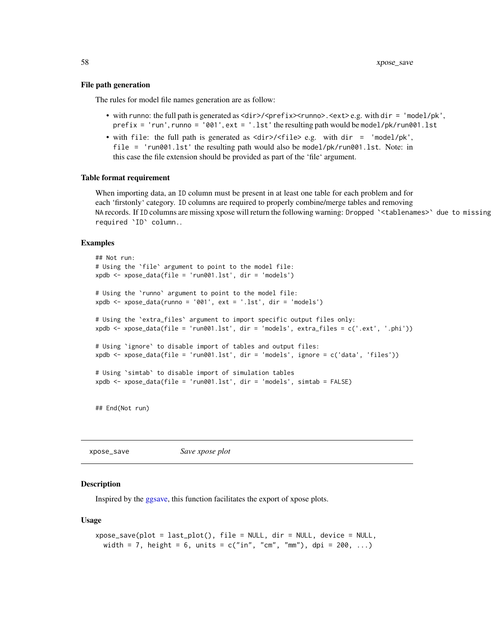#### <span id="page-57-0"></span>File path generation

The rules for model file names generation are as follow:

- with runno: the full path is generated as <dir>/<prefix><runno>.<ext>e.g. with dir = 'model/pk', prefix = 'run', runno = '001', ext = '.lst' the resulting path would be model/pk/run001.lst
- with file: the full path is generated as <dir>/<file> e.g. with dir = 'model/pk', file = 'run001.lst' the resulting path would also be model/pk/run001.lst. Note: in this case the file extension should be provided as part of the 'file' argument.

#### Table format requirement

When importing data, an ID column must be present in at least one table for each problem and for each 'firstonly' category. ID columns are required to properly combine/merge tables and removing NA records. If ID columns are missing xpose will return the following warning: Dropped `<tablenames>` due to missing required `ID` column..

#### Examples

```
## Not run:
# Using the `file` argument to point to the model file:
xpdb <- xpose_data(file = 'run001.lst', dir = 'models')
# Using the `runno` argument to point to the model file:
xpdb <- xpose_data(runno = '001', ext = '.lst', dir = 'models')
# Using the `extra_files` argument to import specific output files only:
xpdb <- xpose_data(file = 'run001.lst', dir = 'models', extra_files = c('.ext', '.phi'))
# Using `ignore` to disable import of tables and output files:
xpdb <- xpose_data(file = 'run001.lst', dir = 'models', ignore = c('data', 'files'))
# Using `simtab` to disable import of simulation tables
xpdb <- xpose_data(file = 'run001.lst', dir = 'models', simtab = FALSE)
```
## End(Not run)

<span id="page-57-1"></span>xpose\_save *Save xpose plot*

## Description

Inspired by the [ggsave,](#page-0-0) this function facilitates the export of xpose plots.

#### Usage

```
xpose\_save(plot = last\_plot(), file = NULL, dir = NULL, device = NULL,width = 7, height = 6, units = c("in", "cm", "mm"), dpi = 200, ...)
```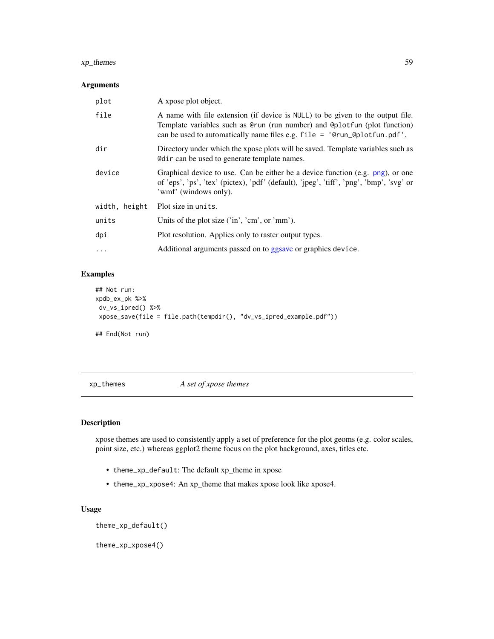### <span id="page-58-0"></span>xp\_themes 59

### Arguments

| plot          | A xpose plot object.                                                                                                                                                                                                                      |
|---------------|-------------------------------------------------------------------------------------------------------------------------------------------------------------------------------------------------------------------------------------------|
| file          | A name with file extension (if device is NULL) to be given to the output file.<br>Template variables such as @run (run number) and @plotfun (plot function)<br>can be used to automatically name files e.g. $file = 'Qrun_Qplotfun.pdf'.$ |
| dir           | Directory under which the xpose plots will be saved. Template variables such as<br>In equal to generate template names.                                                                                                                   |
| device        | Graphical device to use. Can be either be a device function (e.g. png), or one<br>of 'eps', 'ps', 'tex' (pictex), 'pdf' (default), 'jpeg', 'tiff', 'png', 'bmp', 'svg' or<br>'wmf' (windows only).                                        |
| width, height | Plot size in units.                                                                                                                                                                                                                       |
| units         | Units of the plot size ('in', 'cm', or 'mm').                                                                                                                                                                                             |
| dpi           | Plot resolution. Applies only to raster output types.                                                                                                                                                                                     |
| $\cdots$      | Additional arguments passed on to ggsave or graphics device.                                                                                                                                                                              |

### Examples

```
## Not run:
xpdb_ex_pk %>%
dv_vs_ipred() %>%
 xpose_save(file = file.path(tempdir(), "dv_vs_ipred_example.pdf"))
## End(Not run)
```
xp\_themes *A set of xpose themes*

### Description

xpose themes are used to consistently apply a set of preference for the plot geoms (e.g. color scales, point size, etc.) whereas ggplot2 theme focus on the plot background, axes, titles etc.

- theme\_xp\_default: The default xp\_theme in xpose
- theme\_xp\_xpose4: An xp\_theme that makes xpose look like xpose4.

### Usage

theme\_xp\_default()

theme\_xp\_xpose4()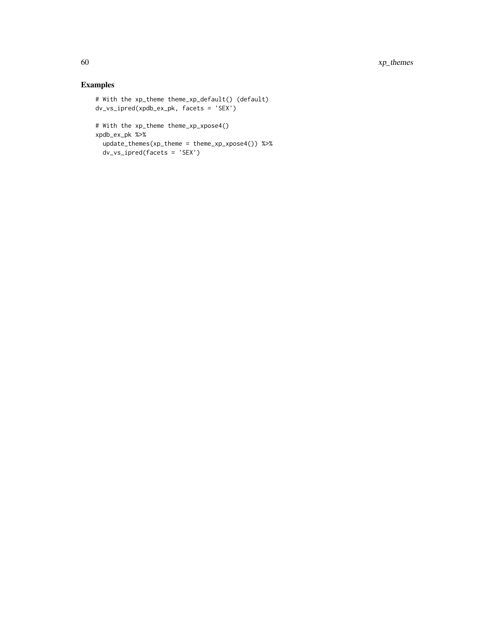60 xp\_themes

## Examples

```
# With the xp_theme theme_xp_default() (default)
dv_vs_ipred(xpdb_ex_pk, facets = 'SEX')
# With the xp_theme theme_xp_xpose4()
xpdb_ex_pk %>%
 update_themes(xp_theme = theme_xp_xpose4()) %>%
 dv_vs_ipred(facets = 'SEX')
```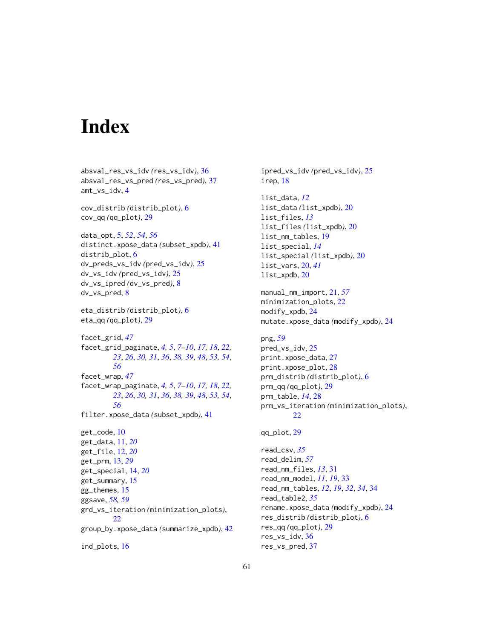# <span id="page-60-0"></span>**Index**

absval\_res\_vs\_idv *(*res\_vs\_idv*)*, [36](#page-35-0) absval\_res\_vs\_pred *(*res\_vs\_pred*)*, [37](#page-36-0) amt\_vs\_idv, [4](#page-3-0) cov\_distrib *(*distrib\_plot*)*, [6](#page-5-0) cov\_qq *(*qq\_plot*)*, [29](#page-28-0) data\_opt, [5,](#page-4-0) *[52](#page-51-0)*, *[54](#page-53-0)*, *[56](#page-55-0)* distinct.xpose\_data *(*subset\_xpdb*)*, [41](#page-40-0) distrib\_plot, [6](#page-5-0) dv\_preds\_vs\_idv *(*pred\_vs\_idv*)*, [25](#page-24-0) dv\_vs\_idv *(*pred\_vs\_idv*)*, [25](#page-24-0) dv\_vs\_ipred *(*dv\_vs\_pred*)*, [8](#page-7-0) dv\_vs\_pred, [8](#page-7-0) eta\_distrib *(*distrib\_plot*)*, [6](#page-5-0) eta\_qq *(*qq\_plot*)*, [29](#page-28-0) facet\_grid, *[47](#page-46-0)* facet\_grid\_paginate, *[4,](#page-3-0) [5](#page-4-0)*, *[7–](#page-6-0)[10](#page-9-0)*, *[17,](#page-16-0) [18](#page-17-0)*, *[22,](#page-21-0) [23](#page-22-0)*, *[26](#page-25-0)*, *[30,](#page-29-0) [31](#page-30-0)*, *[36](#page-35-0)*, *[38,](#page-37-0) [39](#page-38-0)*, *[48](#page-47-0)*, *[53,](#page-52-0) [54](#page-53-0)*, *[56](#page-55-0)* facet\_wrap, *[47](#page-46-0)* facet\_wrap\_paginate, *[4,](#page-3-0) [5](#page-4-0)*, *[7–](#page-6-0)[10](#page-9-0)*, *[17,](#page-16-0) [18](#page-17-0)*, *[22,](#page-21-0) [23](#page-22-0)*, *[26](#page-25-0)*, *[30,](#page-29-0) [31](#page-30-0)*, *[36](#page-35-0)*, *[38,](#page-37-0) [39](#page-38-0)*, *[48](#page-47-0)*, *[53,](#page-52-0) [54](#page-53-0)*, *[56](#page-55-0)* filter.xpose\_data *(*subset\_xpdb*)*, [41](#page-40-0) get\_code, [10](#page-9-0) get\_data, [11,](#page-10-0) *[20](#page-19-0)* get\_file, [12,](#page-11-0) *[20](#page-19-0)* get\_prm, [13,](#page-12-0) *[29](#page-28-0)* get\_special, [14,](#page-13-0) *[20](#page-19-0)* get\_summary, [15](#page-14-0) gg\_themes, [15](#page-14-0) ggsave, *[58,](#page-57-0) [59](#page-58-0)* grd\_vs\_iteration *(*minimization\_plots*)*, [22](#page-21-0) group\_by.xpose\_data *(*summarize\_xpdb*)*, [42](#page-41-0) ind\_plots, [16](#page-15-0)

ipred\_vs\_idv *(*pred\_vs\_idv*)*, [25](#page-24-0) irep, [18](#page-17-0) list\_data, *[12](#page-11-0)* list\_data *(*list\_xpdb*)*, [20](#page-19-0) list\_files, *[13](#page-12-0)* list\_files *(*list\_xpdb*)*, [20](#page-19-0) list\_nm\_tables, [19](#page-18-0) list\_special, *[14](#page-13-0)* list\_special *(*list\_xpdb*)*, [20](#page-19-0) list\_vars, [20,](#page-19-0) *[41](#page-40-0)* list\_xpdb, [20](#page-19-0) manual\_nm\_import, [21,](#page-20-0) *[57](#page-56-0)* minimization\_plots, [22](#page-21-0) modify\_xpdb, [24](#page-23-0) mutate.xpose\_data *(*modify\_xpdb*)*, [24](#page-23-0) png, *[59](#page-58-0)* pred\_vs\_idv, [25](#page-24-0) print.xpose\_data, [27](#page-26-0) print.xpose\_plot, [28](#page-27-0) prm\_distrib *(*distrib\_plot*)*, [6](#page-5-0) prm\_qq *(*qq\_plot*)*, [29](#page-28-0) prm\_table, *[14](#page-13-0)*, [28](#page-27-0) prm\_vs\_iteration *(*minimization\_plots*)*, [22](#page-21-0) qq\_plot, [29](#page-28-0) read\_csv, *[35](#page-34-0)* read\_delim, *[57](#page-56-0)* read\_nm\_files, *[13](#page-12-0)*, [31](#page-30-0) read\_nm\_model, *[11](#page-10-0)*, *[19](#page-18-0)*, [33](#page-32-0) read\_nm\_tables, *[12](#page-11-0)*, *[19](#page-18-0)*, *[32](#page-31-0)*, *[34](#page-33-0)*, [34](#page-33-0) read\_table2, *[35](#page-34-0)* rename.xpose\_data *(*modify\_xpdb*)*, [24](#page-23-0) res\_distrib *(*distrib\_plot*)*, [6](#page-5-0) res\_qq *(*qq\_plot*)*, [29](#page-28-0) res\_vs\_idv, [36](#page-35-0) res\_vs\_pred, [37](#page-36-0)